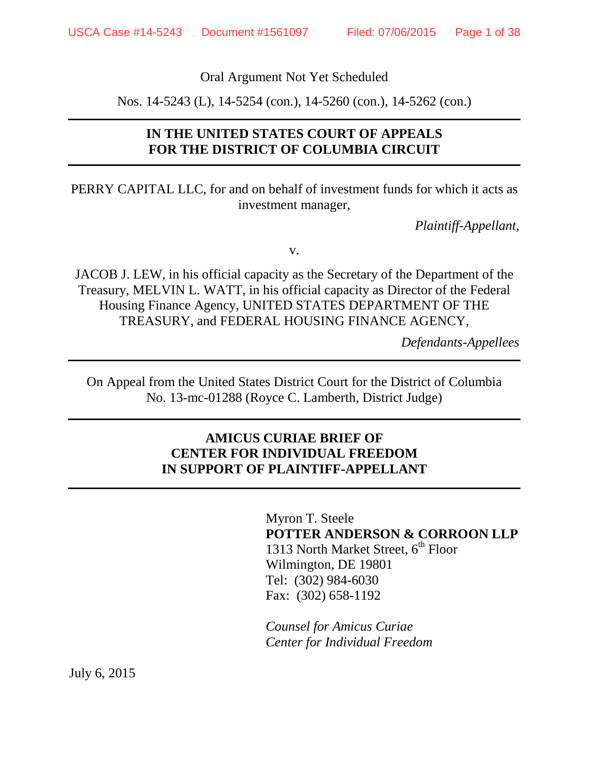Oral Argument Not Yet Scheduled

Nos. 14-5243 (L), 14-5254 (con.), 14-5260 (con.), 14-5262 (con.)

### **IN THE UNITED STATES COURT OF APPEALS FOR THE DISTRICT OF COLUMBIA CIRCUIT**

PERRY CAPITAL LLC, for and on behalf of investment funds for which it acts as investment manager,

*Plaintiff-Appellant,*

v.

JACOB J. LEW, in his official capacity as the Secretary of the Department of the Treasury, MELVIN L. WATT, in his official capacity as Director of the Federal Housing Finance Agency, UNITED STATES DEPARTMENT OF THE TREASURY, and FEDERAL HOUSING FINANCE AGENCY,

*Defendants-Appellees*

On Appeal from the United States District Court for the District of Columbia No. 13-mc-01288 (Royce C. Lamberth, District Judge)

#### **AMICUS CURIAE BRIEF OF CENTER FOR INDIVIDUAL FREEDOM IN SUPPORT OF PLAINTIFF-APPELLANT**

Myron T. Steele **POTTER ANDERSON & CORROON LLP** 1313 North Market Street,  $6<sup>th</sup>$  Floor Wilmington, DE 19801 Tel: (302) 984-6030 Fax: (302) 658-1192

*Counsel for Amicus Curiae Center for Individual Freedom*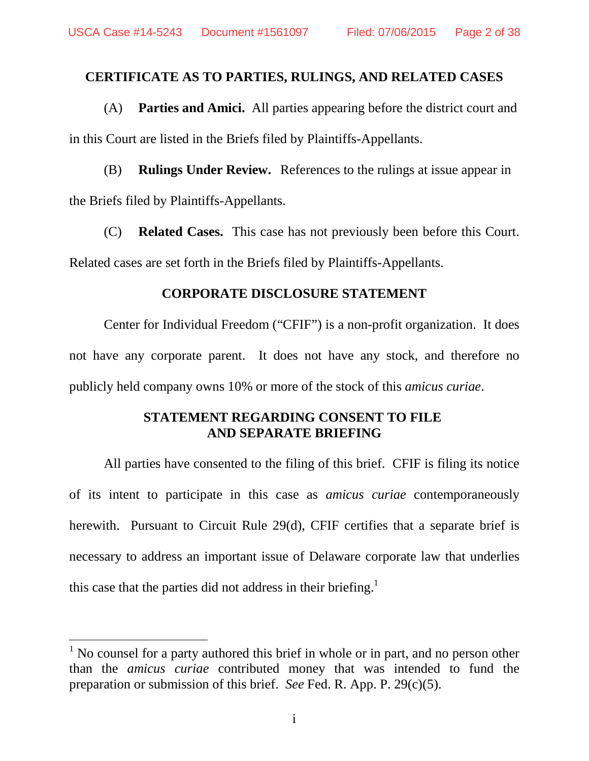### **CERTIFICATE AS TO PARTIES, RULINGS, AND RELATED CASES**

(A) **Parties and Amici.** All parties appearing before the district court and in this Court are listed in the Briefs filed by Plaintiffs-Appellants.

(B) **Rulings Under Review.** References to the rulings at issue appear in the Briefs filed by Plaintiffs-Appellants.

(C) **Related Cases.** This case has not previously been before this Court. Related cases are set forth in the Briefs filed by Plaintiffs-Appellants.

#### **CORPORATE DISCLOSURE STATEMENT**

Center for Individual Freedom ("CFIF") is a non-profit organization. It does not have any corporate parent. It does not have any stock, and therefore no publicly held company owns 10% or more of the stock of this *amicus curiae*.

### **STATEMENT REGARDING CONSENT TO FILE AND SEPARATE BRIEFING**

All parties have consented to the filing of this brief. CFIF is filing its notice of its intent to participate in this case as *amicus curiae* contemporaneously herewith. Pursuant to Circuit Rule 29(d), CFIF certifies that a separate brief is necessary to address an important issue of Delaware corporate law that underlies this case that the parties did not address in their briefing.<sup>1</sup>

 $<sup>1</sup>$  No counsel for a party authored this brief in whole or in part, and no person other</sup> than the *amicus curiae* contributed money that was intended to fund the preparation or submission of this brief. *See* Fed. R. App. P. 29(c)(5).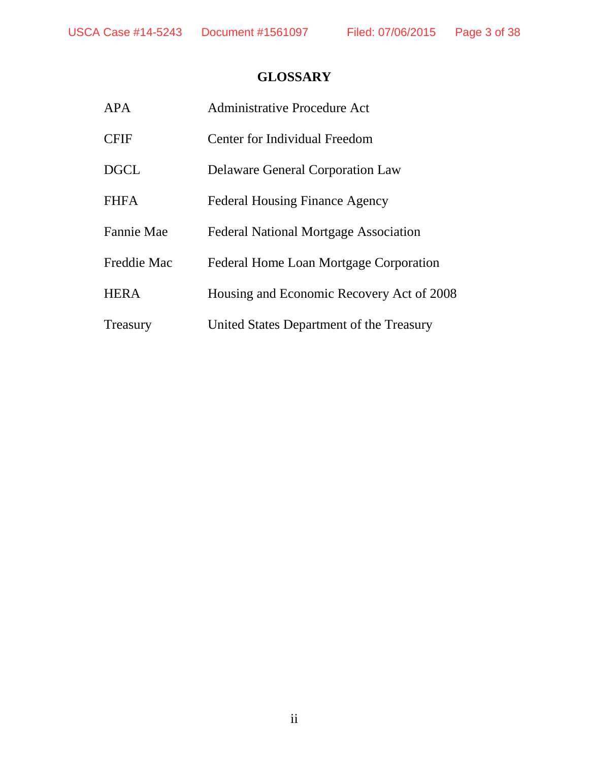# **GLOSSARY**

| APA         | <b>Administrative Procedure Act</b>          |  |
|-------------|----------------------------------------------|--|
| <b>CFIF</b> | Center for Individual Freedom                |  |
| <b>DGCL</b> | Delaware General Corporation Law             |  |
| <b>FHFA</b> | <b>Federal Housing Finance Agency</b>        |  |
| Fannie Mae  | <b>Federal National Mortgage Association</b> |  |
| Freddie Mac | Federal Home Loan Mortgage Corporation       |  |
| <b>HERA</b> | Housing and Economic Recovery Act of 2008    |  |
| Treasury    | United States Department of the Treasury     |  |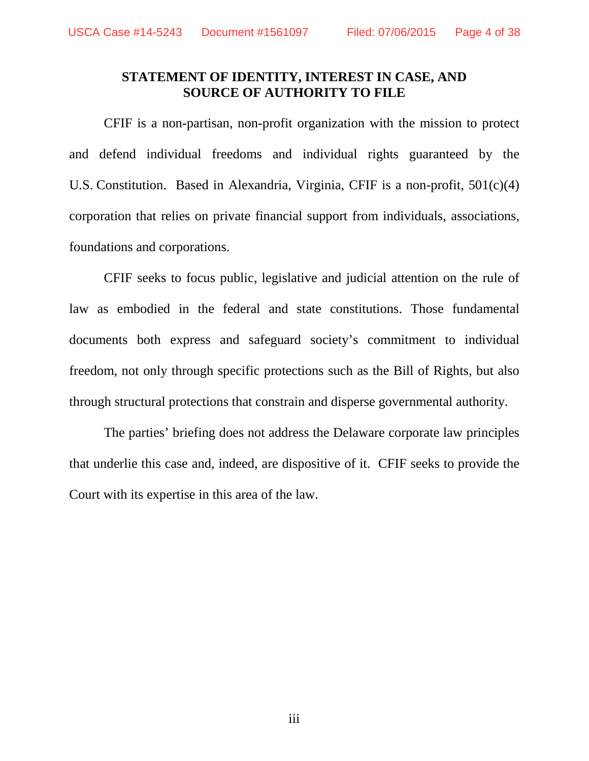### **STATEMENT OF IDENTITY, INTEREST IN CASE, AND SOURCE OF AUTHORITY TO FILE**

CFIF is a non-partisan, non-profit organization with the mission to protect and defend individual freedoms and individual rights guaranteed by the U.S. Constitution. Based in Alexandria, Virginia, CFIF is a non-profit, 501(c)(4) corporation that relies on private financial support from individuals, associations, foundations and corporations.

CFIF seeks to focus public, legislative and judicial attention on the rule of law as embodied in the federal and state constitutions. Those fundamental documents both express and safeguard society's commitment to individual freedom, not only through specific protections such as the Bill of Rights, but also through structural protections that constrain and disperse governmental authority.

The parties' briefing does not address the Delaware corporate law principles that underlie this case and, indeed, are dispositive of it. CFIF seeks to provide the Court with its expertise in this area of the law.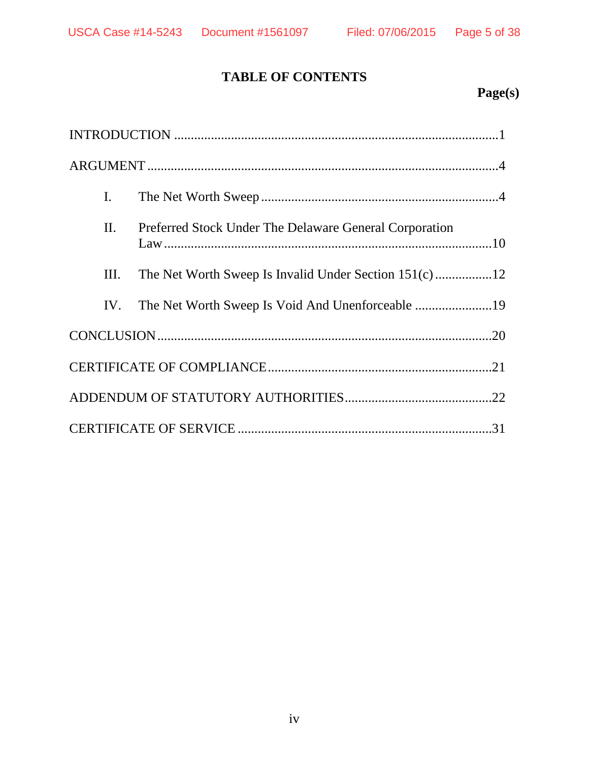# **TABLE OF CONTENTS**

# **Page(s)**

| $\mathbf{I}$ . |                                                        |  |  |
|----------------|--------------------------------------------------------|--|--|
| $\Pi$ .        | Preferred Stock Under The Delaware General Corporation |  |  |
| Ш.             |                                                        |  |  |
| IV.            |                                                        |  |  |
|                |                                                        |  |  |
|                |                                                        |  |  |
|                |                                                        |  |  |
|                |                                                        |  |  |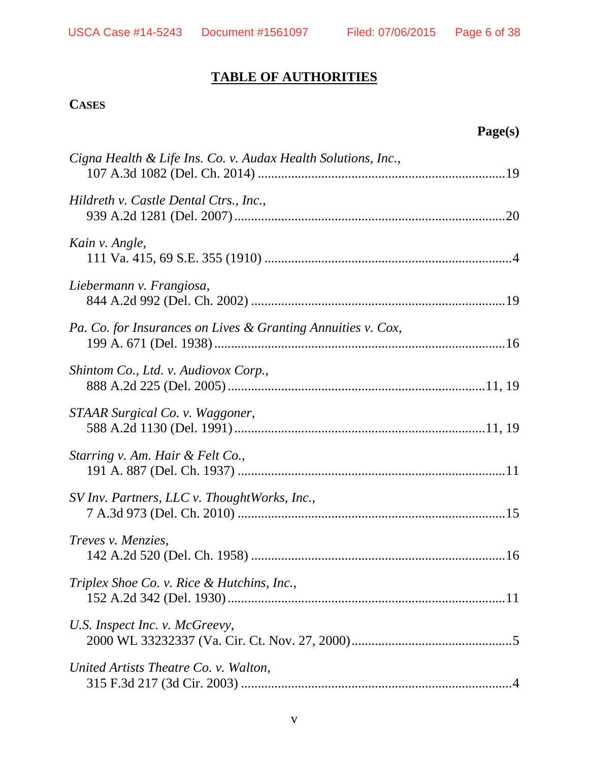# **TABLE OF AUTHORITIES**

# **CASES**

# **Page(s)**

| Cigna Health & Life Ins. Co. v. Audax Health Solutions, Inc., |
|---------------------------------------------------------------|
| Hildreth v. Castle Dental Ctrs., Inc.,                        |
| Kain v. Angle,                                                |
| Liebermann v. Frangiosa,                                      |
| Pa. Co. for Insurances on Lives & Granting Annuities v. Cox,  |
| Shintom Co., Ltd. v. Audiovox Corp.,                          |
| STAAR Surgical Co. v. Waggoner,                               |
| Starring v. Am. Hair & Felt Co.,                              |
| SV Inv. Partners, LLC v. ThoughtWorks, Inc.,                  |
| Treves v. Menzies,                                            |
| Triplex Shoe Co. v. Rice & Hutchins, Inc.,                    |
| U.S. Inspect Inc. v. McGreevy,                                |
| United Artists Theatre Co. v. Walton,                         |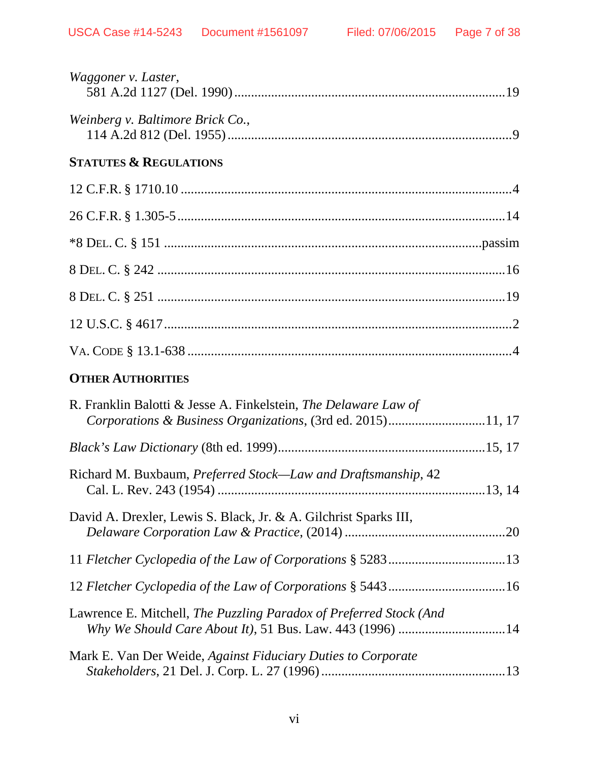| Waggoner v. Laster,                                                                                                            |  |
|--------------------------------------------------------------------------------------------------------------------------------|--|
| Weinberg v. Baltimore Brick Co.,                                                                                               |  |
| <b>STATUTES &amp; REGULATIONS</b>                                                                                              |  |
|                                                                                                                                |  |
|                                                                                                                                |  |
|                                                                                                                                |  |
|                                                                                                                                |  |
|                                                                                                                                |  |
|                                                                                                                                |  |
|                                                                                                                                |  |
| <b>OTHER AUTHORITIES</b>                                                                                                       |  |
| R. Franklin Balotti & Jesse A. Finkelstein, The Delaware Law of<br>Corporations & Business Organizations, (3rd ed. 2015)11, 17 |  |
|                                                                                                                                |  |
| Richard M. Buxbaum, Preferred Stock—Law and Draftsmanship, 42                                                                  |  |
| David A. Drexler, Lewis S. Black, Jr. & A. Gilchrist Sparks III,                                                               |  |
|                                                                                                                                |  |
|                                                                                                                                |  |
| Lawrence E. Mitchell, The Puzzling Paradox of Preferred Stock (And                                                             |  |
| Mark E. Van Der Weide, Against Fiduciary Duties to Corporate                                                                   |  |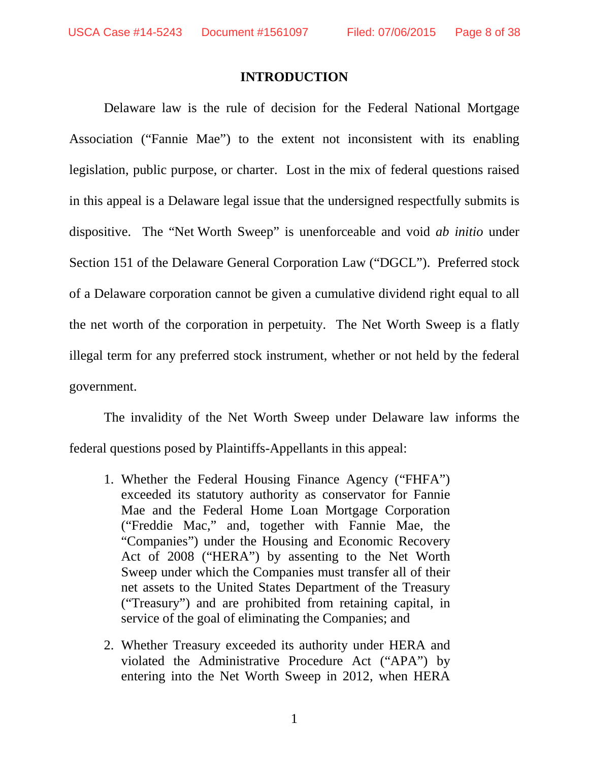#### **INTRODUCTION**

Delaware law is the rule of decision for the Federal National Mortgage Association ("Fannie Mae") to the extent not inconsistent with its enabling legislation, public purpose, or charter. Lost in the mix of federal questions raised in this appeal is a Delaware legal issue that the undersigned respectfully submits is dispositive. The "Net Worth Sweep" is unenforceable and void *ab initio* under Section 151 of the Delaware General Corporation Law ("DGCL"). Preferred stock of a Delaware corporation cannot be given a cumulative dividend right equal to all the net worth of the corporation in perpetuity. The Net Worth Sweep is a flatly illegal term for any preferred stock instrument, whether or not held by the federal government.

The invalidity of the Net Worth Sweep under Delaware law informs the federal questions posed by Plaintiffs-Appellants in this appeal:

- 1. Whether the Federal Housing Finance Agency ("FHFA") exceeded its statutory authority as conservator for Fannie Mae and the Federal Home Loan Mortgage Corporation ("Freddie Mac," and, together with Fannie Mae, the "Companies") under the Housing and Economic Recovery Act of 2008 ("HERA") by assenting to the Net Worth Sweep under which the Companies must transfer all of their net assets to the United States Department of the Treasury ("Treasury") and are prohibited from retaining capital, in service of the goal of eliminating the Companies; and
- 2. Whether Treasury exceeded its authority under HERA and violated the Administrative Procedure Act ("APA") by entering into the Net Worth Sweep in 2012, when HERA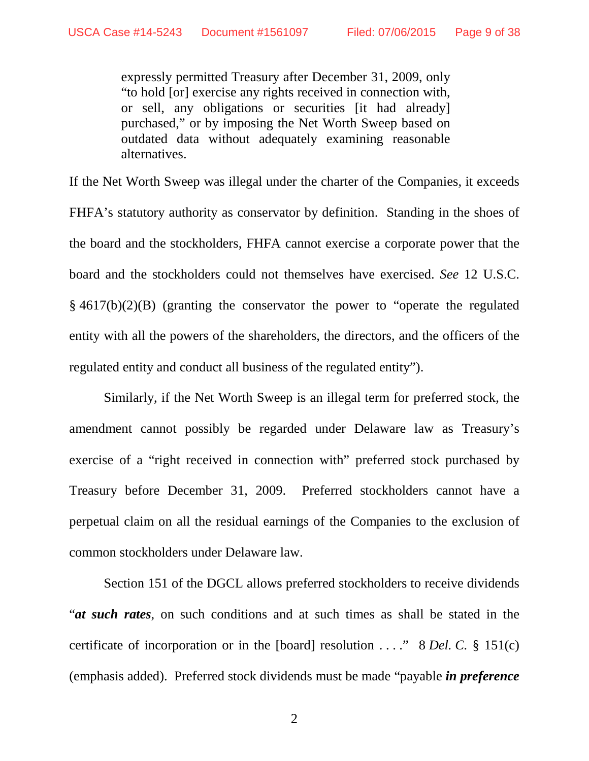expressly permitted Treasury after December 31, 2009, only "to hold [or] exercise any rights received in connection with, or sell, any obligations or securities [it had already] purchased," or by imposing the Net Worth Sweep based on outdated data without adequately examining reasonable alternatives.

If the Net Worth Sweep was illegal under the charter of the Companies, it exceeds FHFA's statutory authority as conservator by definition. Standing in the shoes of the board and the stockholders, FHFA cannot exercise a corporate power that the board and the stockholders could not themselves have exercised. *See* 12 U.S.C. § 4617(b)(2)(B) (granting the conservator the power to "operate the regulated entity with all the powers of the shareholders, the directors, and the officers of the regulated entity and conduct all business of the regulated entity").

Similarly, if the Net Worth Sweep is an illegal term for preferred stock, the amendment cannot possibly be regarded under Delaware law as Treasury's exercise of a "right received in connection with" preferred stock purchased by Treasury before December 31, 2009. Preferred stockholders cannot have a perpetual claim on all the residual earnings of the Companies to the exclusion of common stockholders under Delaware law.

Section 151 of the DGCL allows preferred stockholders to receive dividends "*at such rates*, on such conditions and at such times as shall be stated in the certificate of incorporation or in the [board] resolution . . . ." 8 *Del. C.* § 151(c) (emphasis added). Preferred stock dividends must be made "payable *in preference*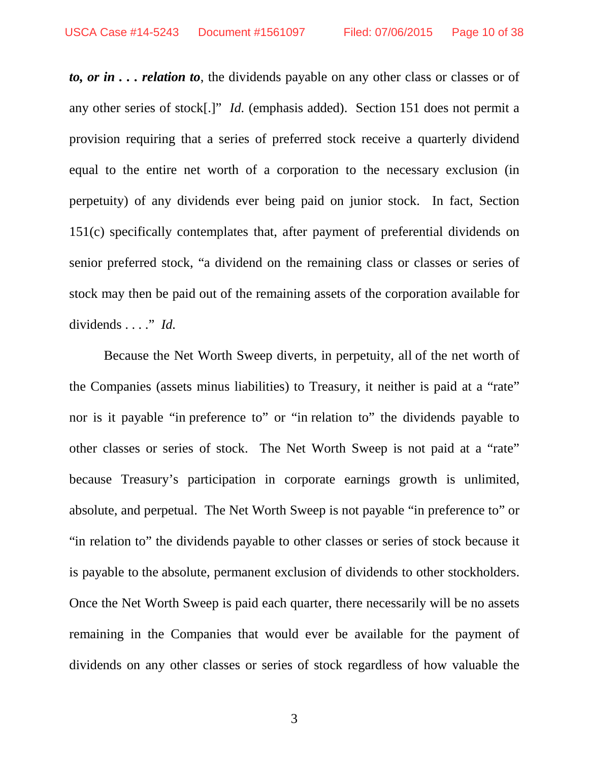*to, or in . . . relation to*, the dividends payable on any other class or classes or of any other series of stock[.]" *Id.* (emphasis added). Section 151 does not permit a provision requiring that a series of preferred stock receive a quarterly dividend equal to the entire net worth of a corporation to the necessary exclusion (in perpetuity) of any dividends ever being paid on junior stock. In fact, Section 151(c) specifically contemplates that, after payment of preferential dividends on senior preferred stock, "a dividend on the remaining class or classes or series of stock may then be paid out of the remaining assets of the corporation available for dividends . . . ." *Id.*

Because the Net Worth Sweep diverts, in perpetuity, all of the net worth of the Companies (assets minus liabilities) to Treasury, it neither is paid at a "rate" nor is it payable "in preference to" or "in relation to" the dividends payable to other classes or series of stock. The Net Worth Sweep is not paid at a "rate" because Treasury's participation in corporate earnings growth is unlimited, absolute, and perpetual. The Net Worth Sweep is not payable "in preference to" or "in relation to" the dividends payable to other classes or series of stock because it is payable to the absolute, permanent exclusion of dividends to other stockholders. Once the Net Worth Sweep is paid each quarter, there necessarily will be no assets remaining in the Companies that would ever be available for the payment of dividends on any other classes or series of stock regardless of how valuable the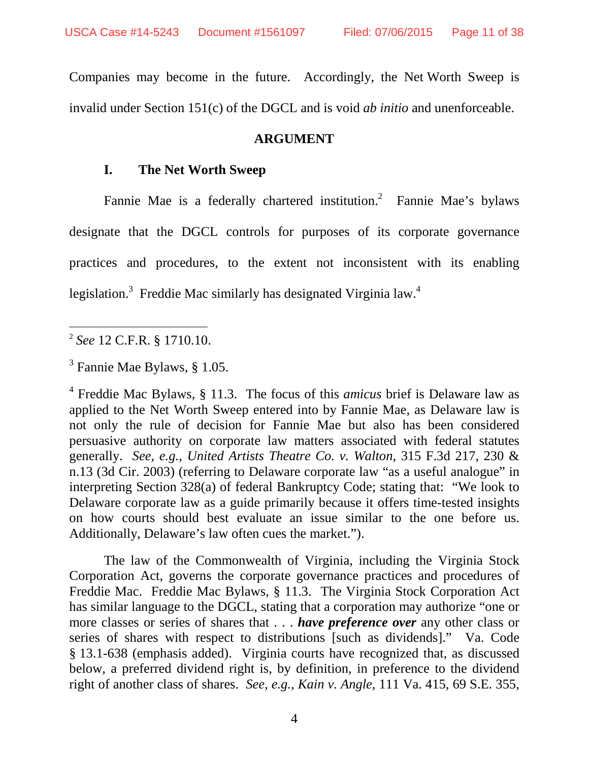Companies may become in the future. Accordingly, the Net Worth Sweep is invalid under Section 151(c) of the DGCL and is void *ab initio* and unenforceable.

#### **ARGUMENT**

#### **I. The Net Worth Sweep**

Fannie Mae is a federally chartered institution.<sup>2</sup> Fannie Mae's bylaws designate that the DGCL controls for purposes of its corporate governance practices and procedures, to the extent not inconsistent with its enabling legislation.<sup>3</sup> Freddie Mac similarly has designated Virginia law.<sup>4</sup>

2 *See* 12 C.F.R. § 1710.10.

4 Freddie Mac Bylaws, § 11.3. The focus of this *amicus* brief is Delaware law as applied to the Net Worth Sweep entered into by Fannie Mae, as Delaware law is not only the rule of decision for Fannie Mae but also has been considered persuasive authority on corporate law matters associated with federal statutes generally. *See, e.g., United Artists Theatre Co. v. Walton*, 315 F.3d 217, 230 & n.13 (3d Cir. 2003) (referring to Delaware corporate law "as a useful analogue" in interpreting Section 328(a) of federal Bankruptcy Code; stating that: "We look to Delaware corporate law as a guide primarily because it offers time-tested insights on how courts should best evaluate an issue similar to the one before us. Additionally, Delaware's law often cues the market.").

The law of the Commonwealth of Virginia, including the Virginia Stock Corporation Act, governs the corporate governance practices and procedures of Freddie Mac. Freddie Mac Bylaws, § 11.3. The Virginia Stock Corporation Act has similar language to the DGCL, stating that a corporation may authorize "one or more classes or series of shares that . . . *have preference over* any other class or series of shares with respect to distributions [such as dividends]." Va. Code § 13.1-638 (emphasis added). Virginia courts have recognized that, as discussed below, a preferred dividend right is, by definition, in preference to the dividend right of another class of shares. *See, e.g., Kain v. Angle*, 111 Va. 415, 69 S.E. 355,

<sup>3</sup> Fannie Mae Bylaws, § 1.05.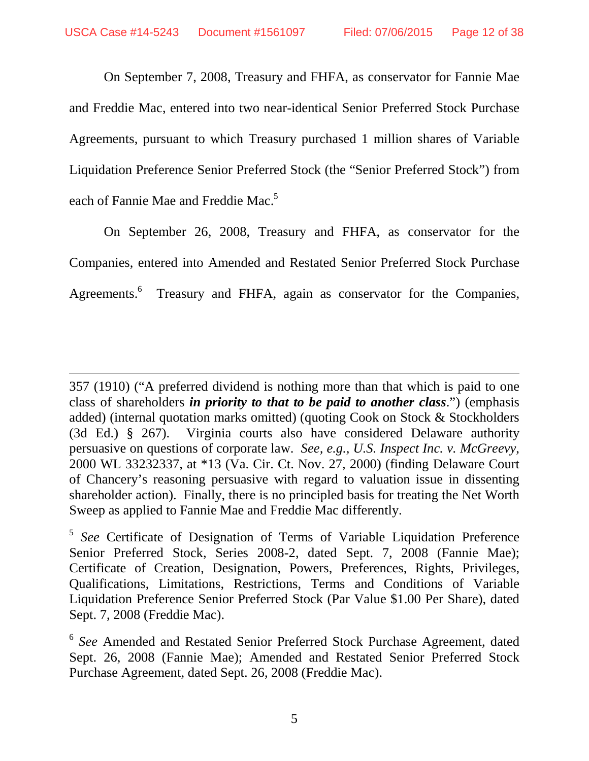On September 7, 2008, Treasury and FHFA, as conservator for Fannie Mae and Freddie Mac, entered into two near-identical Senior Preferred Stock Purchase Agreements, pursuant to which Treasury purchased 1 million shares of Variable Liquidation Preference Senior Preferred Stock (the "Senior Preferred Stock") from each of Fannie Mae and Freddie Mac.<sup>5</sup>

On September 26, 2008, Treasury and FHFA, as conservator for the Companies, entered into Amended and Restated Senior Preferred Stock Purchase Agreements.<sup>6</sup> Treasury and FHFA, again as conservator for the Companies,

<sup>357 (1910) (&</sup>quot;A preferred dividend is nothing more than that which is paid to one class of shareholders *in priority to that to be paid to another class*.") (emphasis added) (internal quotation marks omitted) (quoting Cook on Stock & Stockholders (3d Ed.) § 267). Virginia courts also have considered Delaware authority persuasive on questions of corporate law. *See, e.g., U.S. Inspect Inc. v. McGreevy*, 2000 WL 33232337, at \*13 (Va. Cir. Ct. Nov. 27, 2000) (finding Delaware Court of Chancery's reasoning persuasive with regard to valuation issue in dissenting shareholder action). Finally, there is no principled basis for treating the Net Worth Sweep as applied to Fannie Mae and Freddie Mac differently.

<sup>5</sup> *See* Certificate of Designation of Terms of Variable Liquidation Preference Senior Preferred Stock, Series 2008-2, dated Sept. 7, 2008 (Fannie Mae); Certificate of Creation, Designation, Powers, Preferences, Rights, Privileges, Qualifications, Limitations, Restrictions, Terms and Conditions of Variable Liquidation Preference Senior Preferred Stock (Par Value \$1.00 Per Share), dated Sept. 7, 2008 (Freddie Mac).

<sup>6</sup> *See* Amended and Restated Senior Preferred Stock Purchase Agreement, dated Sept. 26, 2008 (Fannie Mae); Amended and Restated Senior Preferred Stock Purchase Agreement, dated Sept. 26, 2008 (Freddie Mac).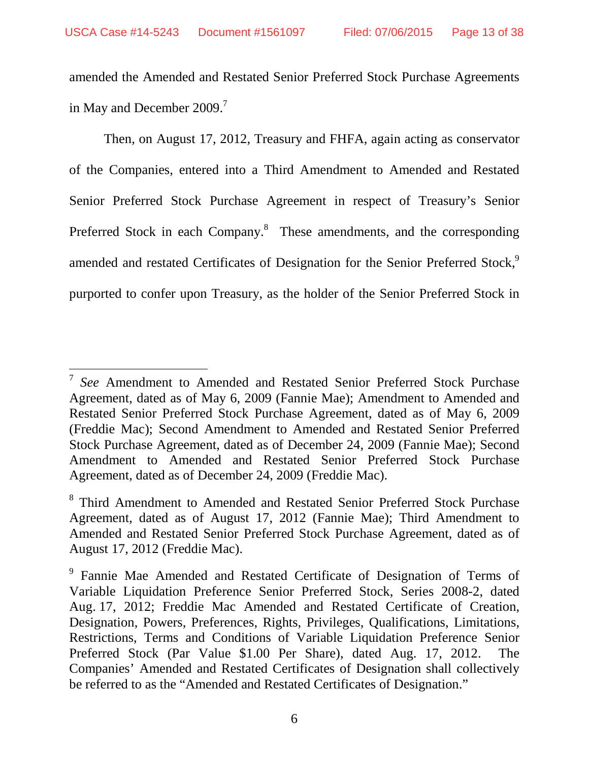amended the Amended and Restated Senior Preferred Stock Purchase Agreements in May and December 2009.<sup>7</sup>

Then, on August 17, 2012, Treasury and FHFA, again acting as conservator of the Companies, entered into a Third Amendment to Amended and Restated Senior Preferred Stock Purchase Agreement in respect of Treasury's Senior Preferred Stock in each Company.<sup>8</sup> These amendments, and the corresponding amended and restated Certificates of Designation for the Senior Preferred Stock,<sup>9</sup> purported to confer upon Treasury, as the holder of the Senior Preferred Stock in

<sup>7</sup> *See* Amendment to Amended and Restated Senior Preferred Stock Purchase Agreement, dated as of May 6, 2009 (Fannie Mae); Amendment to Amended and Restated Senior Preferred Stock Purchase Agreement, dated as of May 6, 2009 (Freddie Mac); Second Amendment to Amended and Restated Senior Preferred Stock Purchase Agreement, dated as of December 24, 2009 (Fannie Mae); Second Amendment to Amended and Restated Senior Preferred Stock Purchase Agreement, dated as of December 24, 2009 (Freddie Mac).

<sup>&</sup>lt;sup>8</sup> Third Amendment to Amended and Restated Senior Preferred Stock Purchase Agreement, dated as of August 17, 2012 (Fannie Mae); Third Amendment to Amended and Restated Senior Preferred Stock Purchase Agreement, dated as of August 17, 2012 (Freddie Mac).

<sup>&</sup>lt;sup>9</sup> Fannie Mae Amended and Restated Certificate of Designation of Terms of Variable Liquidation Preference Senior Preferred Stock, Series 2008-2, dated Aug. 17, 2012; Freddie Mac Amended and Restated Certificate of Creation, Designation, Powers, Preferences, Rights, Privileges, Qualifications, Limitations, Restrictions, Terms and Conditions of Variable Liquidation Preference Senior Preferred Stock (Par Value \$1.00 Per Share), dated Aug. 17, 2012. The Companies' Amended and Restated Certificates of Designation shall collectively be referred to as the "Amended and Restated Certificates of Designation."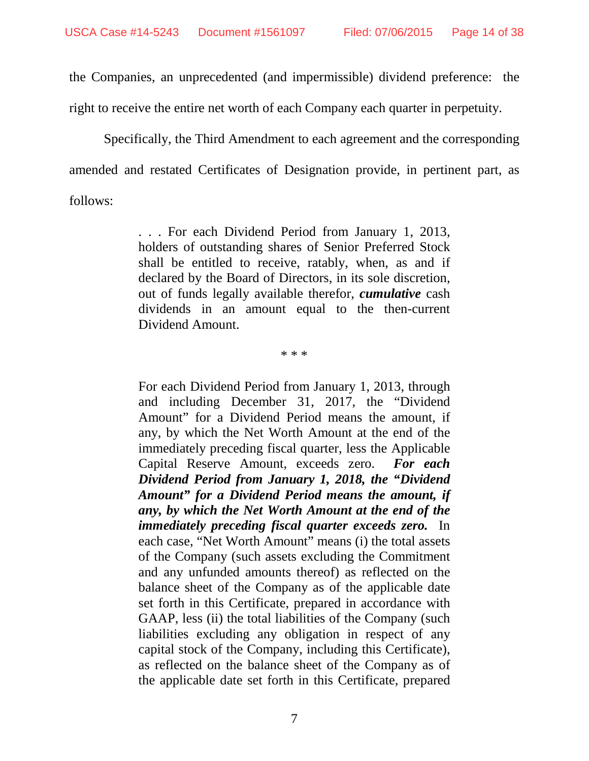the Companies, an unprecedented (and impermissible) dividend preference: the

right to receive the entire net worth of each Company each quarter in perpetuity.

Specifically, the Third Amendment to each agreement and the corresponding amended and restated Certificates of Designation provide, in pertinent part, as follows:

> . . . For each Dividend Period from January 1, 2013, holders of outstanding shares of Senior Preferred Stock shall be entitled to receive, ratably, when, as and if declared by the Board of Directors, in its sole discretion, out of funds legally available therefor, *cumulative* cash dividends in an amount equal to the then-current Dividend Amount.

> > \* \* \*

For each Dividend Period from January 1, 2013, through and including December 31, 2017, the "Dividend Amount" for a Dividend Period means the amount, if any, by which the Net Worth Amount at the end of the immediately preceding fiscal quarter, less the Applicable Capital Reserve Amount, exceeds zero. *For each Dividend Period from January 1, 2018, the "Dividend Amount" for a Dividend Period means the amount, if any, by which the Net Worth Amount at the end of the immediately preceding fiscal quarter exceeds zero.* In each case, "Net Worth Amount" means (i) the total assets of the Company (such assets excluding the Commitment and any unfunded amounts thereof) as reflected on the balance sheet of the Company as of the applicable date set forth in this Certificate, prepared in accordance with GAAP, less (ii) the total liabilities of the Company (such liabilities excluding any obligation in respect of any capital stock of the Company, including this Certificate), as reflected on the balance sheet of the Company as of the applicable date set forth in this Certificate, prepared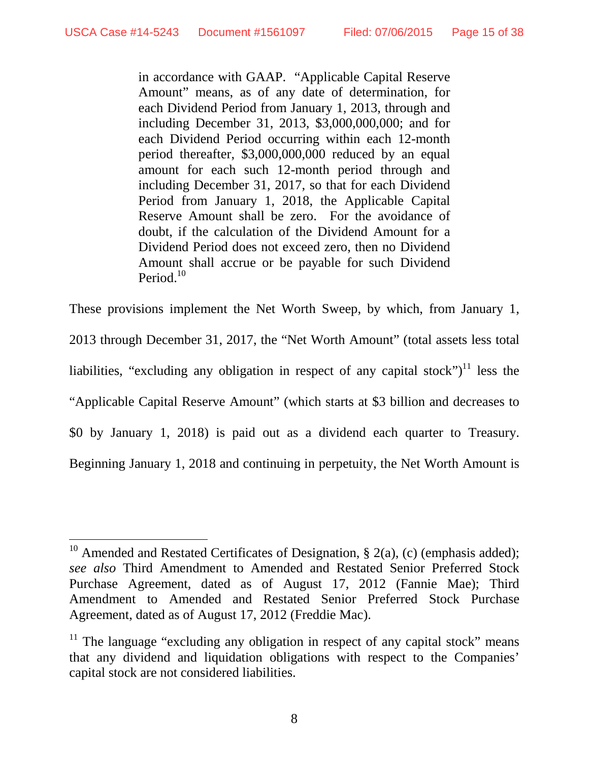in accordance with GAAP. "Applicable Capital Reserve Amount" means, as of any date of determination, for each Dividend Period from January 1, 2013, through and including December 31, 2013, \$3,000,000,000; and for each Dividend Period occurring within each 12-month period thereafter, \$3,000,000,000 reduced by an equal amount for each such 12-month period through and including December 31, 2017, so that for each Dividend Period from January 1, 2018, the Applicable Capital Reserve Amount shall be zero. For the avoidance of doubt, if the calculation of the Dividend Amount for a Dividend Period does not exceed zero, then no Dividend Amount shall accrue or be payable for such Dividend Period.<sup>10</sup>

These provisions implement the Net Worth Sweep, by which, from January 1, 2013 through December 31, 2017, the "Net Worth Amount" (total assets less total liabilities, "excluding any obligation in respect of any capital stock") $11$  less the "Applicable Capital Reserve Amount" (which starts at \$3 billion and decreases to \$0 by January 1, 2018) is paid out as a dividend each quarter to Treasury. Beginning January 1, 2018 and continuing in perpetuity, the Net Worth Amount is

<sup>&</sup>lt;sup>10</sup> Amended and Restated Certificates of Designation, § 2(a), (c) (emphasis added); *see also* Third Amendment to Amended and Restated Senior Preferred Stock Purchase Agreement, dated as of August 17, 2012 (Fannie Mae); Third Amendment to Amended and Restated Senior Preferred Stock Purchase Agreement, dated as of August 17, 2012 (Freddie Mac).

 $11$  The language "excluding any obligation in respect of any capital stock" means that any dividend and liquidation obligations with respect to the Companies' capital stock are not considered liabilities.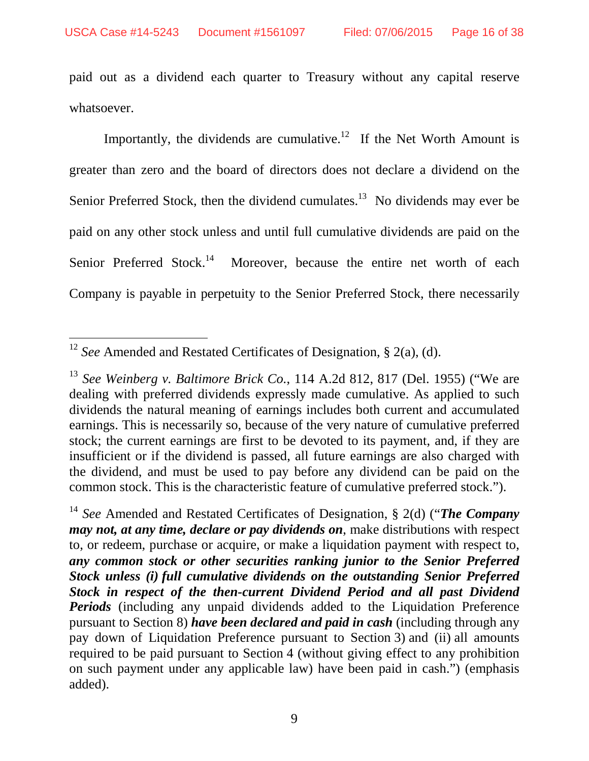paid out as a dividend each quarter to Treasury without any capital reserve whatsoever.

Importantly, the dividends are cumulative.<sup>12</sup> If the Net Worth Amount is greater than zero and the board of directors does not declare a dividend on the Senior Preferred Stock, then the dividend cumulates.<sup>13</sup> No dividends may ever be paid on any other stock unless and until full cumulative dividends are paid on the Senior Preferred Stock.<sup>14</sup> Moreover, because the entire net worth of each Company is payable in perpetuity to the Senior Preferred Stock, there necessarily

<sup>12</sup> *See* Amended and Restated Certificates of Designation, § 2(a), (d).

<sup>13</sup> *See Weinberg v. Baltimore Brick Co.*, 114 A.2d 812, 817 (Del. 1955) ("We are dealing with preferred dividends expressly made cumulative. As applied to such dividends the natural meaning of earnings includes both current and accumulated earnings. This is necessarily so, because of the very nature of cumulative preferred stock; the current earnings are first to be devoted to its payment, and, if they are insufficient or if the dividend is passed, all future earnings are also charged with the dividend, and must be used to pay before any dividend can be paid on the common stock. This is the characteristic feature of cumulative preferred stock.").

<sup>14</sup> *See* Amended and Restated Certificates of Designation, § 2(d) ("*The Company may not, at any time, declare or pay dividends on*, make distributions with respect to, or redeem, purchase or acquire, or make a liquidation payment with respect to, *any common stock or other securities ranking junior to the Senior Preferred Stock unless (i) full cumulative dividends on the outstanding Senior Preferred Stock in respect of the then-current Dividend Period and all past Dividend Periods* (including any unpaid dividends added to the Liquidation Preference pursuant to Section 8) *have been declared and paid in cash* (including through any pay down of Liquidation Preference pursuant to Section 3) and (ii) all amounts required to be paid pursuant to Section 4 (without giving effect to any prohibition on such payment under any applicable law) have been paid in cash.") (emphasis added).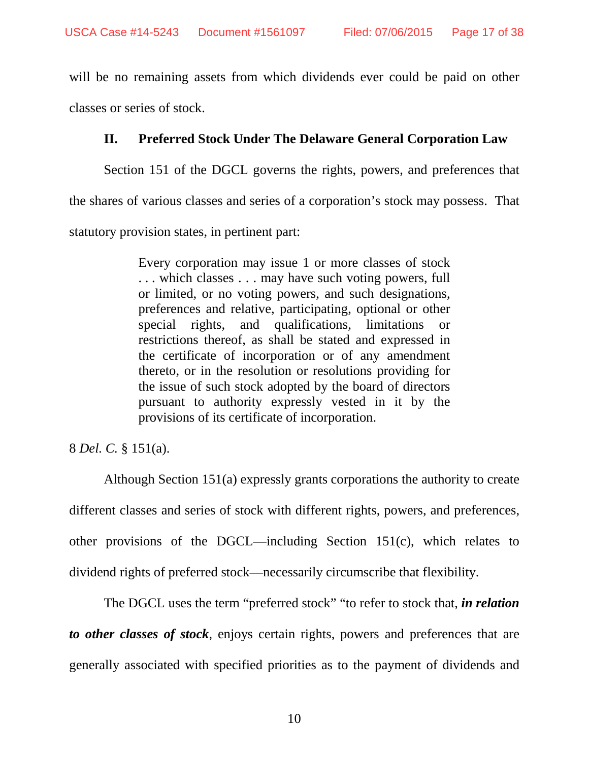will be no remaining assets from which dividends ever could be paid on other classes or series of stock.

### **II. Preferred Stock Under The Delaware General Corporation Law**

Section 151 of the DGCL governs the rights, powers, and preferences that

the shares of various classes and series of a corporation's stock may possess. That

statutory provision states, in pertinent part:

Every corporation may issue 1 or more classes of stock . . . which classes . . . may have such voting powers, full or limited, or no voting powers, and such designations, preferences and relative, participating, optional or other special rights, and qualifications, limitations or restrictions thereof, as shall be stated and expressed in the certificate of incorporation or of any amendment thereto, or in the resolution or resolutions providing for the issue of such stock adopted by the board of directors pursuant to authority expressly vested in it by the provisions of its certificate of incorporation.

8 *Del. C.* § 151(a).

Although Section 151(a) expressly grants corporations the authority to create different classes and series of stock with different rights, powers, and preferences, other provisions of the DGCL—including Section 151(c), which relates to dividend rights of preferred stock—necessarily circumscribe that flexibility.

The DGCL uses the term "preferred stock" "to refer to stock that, *in relation to other classes of stock*, enjoys certain rights, powers and preferences that are generally associated with specified priorities as to the payment of dividends and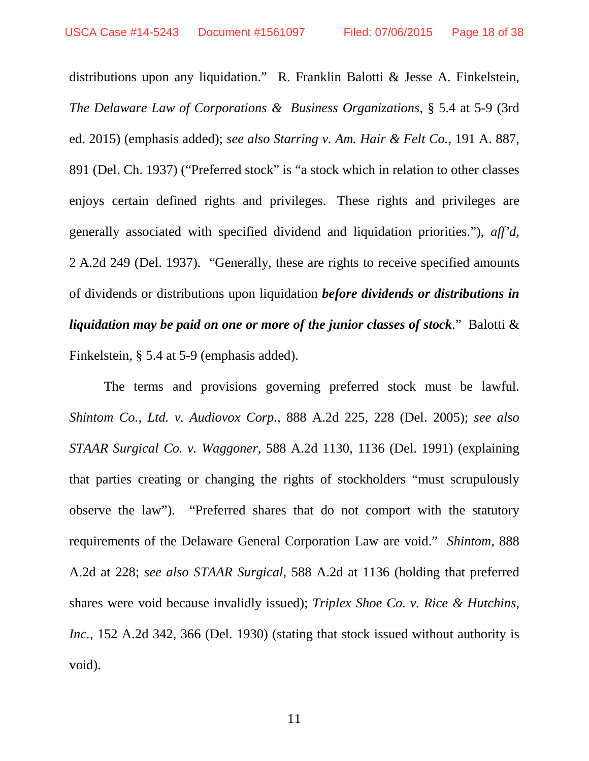distributions upon any liquidation." R. Franklin Balotti & Jesse A. Finkelstein, *The Delaware Law of Corporations & Business Organizations*, § 5.4 at 5-9 (3rd ed. 2015) (emphasis added); *see also Starring v. Am. Hair & Felt Co.*, 191 A. 887, 891 (Del. Ch. 1937) ("Preferred stock" is "a stock which in relation to other classes enjoys certain defined rights and privileges. These rights and privileges are generally associated with specified dividend and liquidation priorities."), *aff'd*, 2 A.2d 249 (Del. 1937). "Generally, these are rights to receive specified amounts of dividends or distributions upon liquidation *before dividends or distributions in liquidation may be paid on one or more of the junior classes of stock*." Balotti & Finkelstein, § 5.4 at 5-9 (emphasis added).

The terms and provisions governing preferred stock must be lawful. *Shintom Co., Ltd. v. Audiovox Corp.*, 888 A.2d 225, 228 (Del. 2005); *see also STAAR Surgical Co. v. Waggoner*, 588 A.2d 1130, 1136 (Del. 1991) (explaining that parties creating or changing the rights of stockholders "must scrupulously observe the law"). "Preferred shares that do not comport with the statutory requirements of the Delaware General Corporation Law are void." *Shintom*, 888 A.2d at 228; *see also STAAR Surgical*, 588 A.2d at 1136 (holding that preferred shares were void because invalidly issued); *Triplex Shoe Co. v. Rice & Hutchins, Inc.*, 152 A.2d 342, 366 (Del. 1930) (stating that stock issued without authority is void).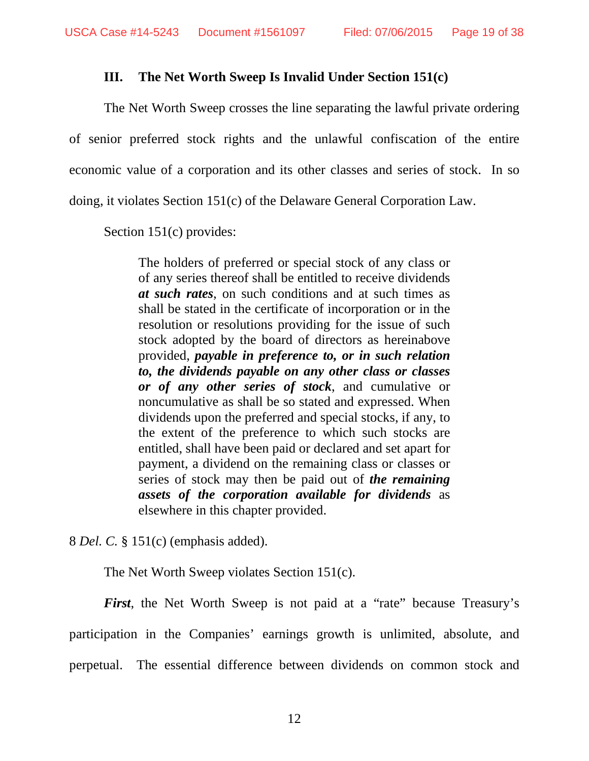### **III. The Net Worth Sweep Is Invalid Under Section 151(c)**

The Net Worth Sweep crosses the line separating the lawful private ordering of senior preferred stock rights and the unlawful confiscation of the entire economic value of a corporation and its other classes and series of stock. In so doing, it violates Section 151(c) of the Delaware General Corporation Law.

Section 151(c) provides:

The holders of preferred or special stock of any class or of any series thereof shall be entitled to receive dividends *at such rates*, on such conditions and at such times as shall be stated in the certificate of incorporation or in the resolution or resolutions providing for the issue of such stock adopted by the board of directors as hereinabove provided, *payable in preference to, or in such relation to, the dividends payable on any other class or classes or of any other series of stock*, and cumulative or noncumulative as shall be so stated and expressed. When dividends upon the preferred and special stocks, if any, to the extent of the preference to which such stocks are entitled, shall have been paid or declared and set apart for payment, a dividend on the remaining class or classes or series of stock may then be paid out of *the remaining assets of the corporation available for dividends* as elsewhere in this chapter provided.

8 *Del. C.* § 151(c) (emphasis added).

The Net Worth Sweep violates Section 151(c).

*First*, the Net Worth Sweep is not paid at a "rate" because Treasury's participation in the Companies' earnings growth is unlimited, absolute, and perpetual. The essential difference between dividends on common stock and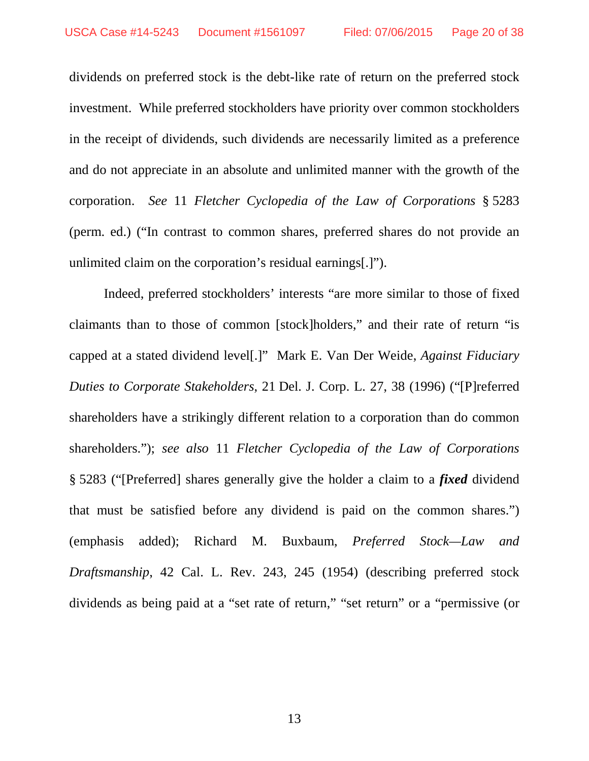dividends on preferred stock is the debt-like rate of return on the preferred stock investment. While preferred stockholders have priority over common stockholders in the receipt of dividends, such dividends are necessarily limited as a preference and do not appreciate in an absolute and unlimited manner with the growth of the corporation. *See* 11 *Fletcher Cyclopedia of the Law of Corporations* § 5283 (perm. ed.) ("In contrast to common shares, preferred shares do not provide an unlimited claim on the corporation's residual earnings[.]").

Indeed, preferred stockholders' interests "are more similar to those of fixed claimants than to those of common [stock]holders," and their rate of return "is capped at a stated dividend level[.]" Mark E. Van Der Weide, *Against Fiduciary Duties to Corporate Stakeholders*, 21 Del. J. Corp. L. 27, 38 (1996) ("[P]referred shareholders have a strikingly different relation to a corporation than do common shareholders."); *see also* 11 *Fletcher Cyclopedia of the Law of Corporations* § 5283 ("[Preferred] shares generally give the holder a claim to a *fixed* dividend that must be satisfied before any dividend is paid on the common shares.") (emphasis added); Richard M. Buxbaum, *Preferred Stock—Law and Draftsmanship*, 42 Cal. L. Rev. 243, 245 (1954) (describing preferred stock dividends as being paid at a "set rate of return," "set return" or a "permissive (or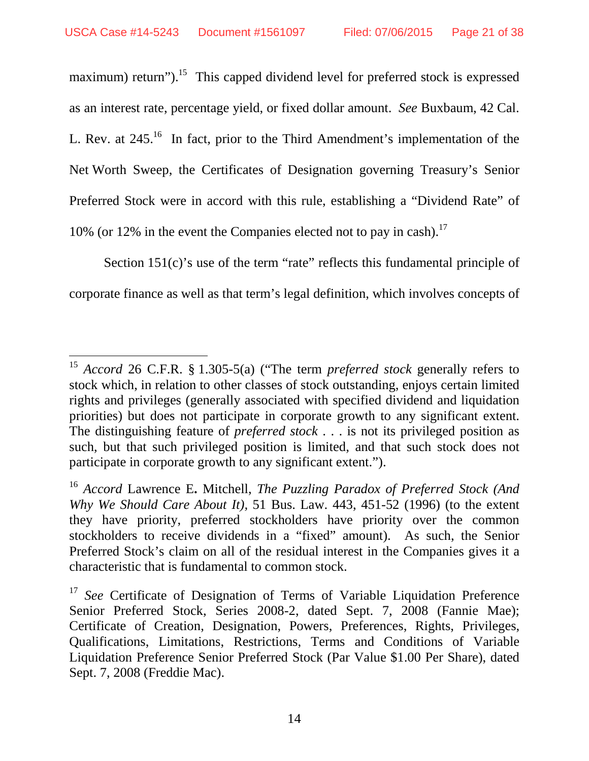maximum) return").<sup>15</sup> This capped dividend level for preferred stock is expressed as an interest rate, percentage yield, or fixed dollar amount. *See* Buxbaum, 42 Cal. L. Rev. at 245.<sup>16</sup> In fact, prior to the Third Amendment's implementation of the Net Worth Sweep, the Certificates of Designation governing Treasury's Senior Preferred Stock were in accord with this rule, establishing a "Dividend Rate" of 10% (or 12% in the event the Companies elected not to pay in cash).<sup>17</sup>

Section 151(c)'s use of the term "rate" reflects this fundamental principle of corporate finance as well as that term's legal definition, which involves concepts of

<sup>15</sup> *Accord* 26 C.F.R. § 1.305-5(a) ("The term *preferred stock* generally refers to stock which, in relation to other classes of stock outstanding, enjoys certain limited rights and privileges (generally associated with specified dividend and liquidation priorities) but does not participate in corporate growth to any significant extent. The distinguishing feature of *preferred stock* . . . is not its privileged position as such, but that such privileged position is limited, and that such stock does not participate in corporate growth to any significant extent.").

<sup>16</sup> *Accord* Lawrence E**.** Mitchell, *The Puzzling Paradox of Preferred Stock (And Why We Should Care About It),* 51 Bus. Law. 443, 451-52 (1996) (to the extent they have priority, preferred stockholders have priority over the common stockholders to receive dividends in a "fixed" amount). As such, the Senior Preferred Stock's claim on all of the residual interest in the Companies gives it a characteristic that is fundamental to common stock.

<sup>&</sup>lt;sup>17</sup> *See* Certificate of Designation of Terms of Variable Liquidation Preference Senior Preferred Stock, Series 2008-2, dated Sept. 7, 2008 (Fannie Mae); Certificate of Creation, Designation, Powers, Preferences, Rights, Privileges, Qualifications, Limitations, Restrictions, Terms and Conditions of Variable Liquidation Preference Senior Preferred Stock (Par Value \$1.00 Per Share), dated Sept. 7, 2008 (Freddie Mac).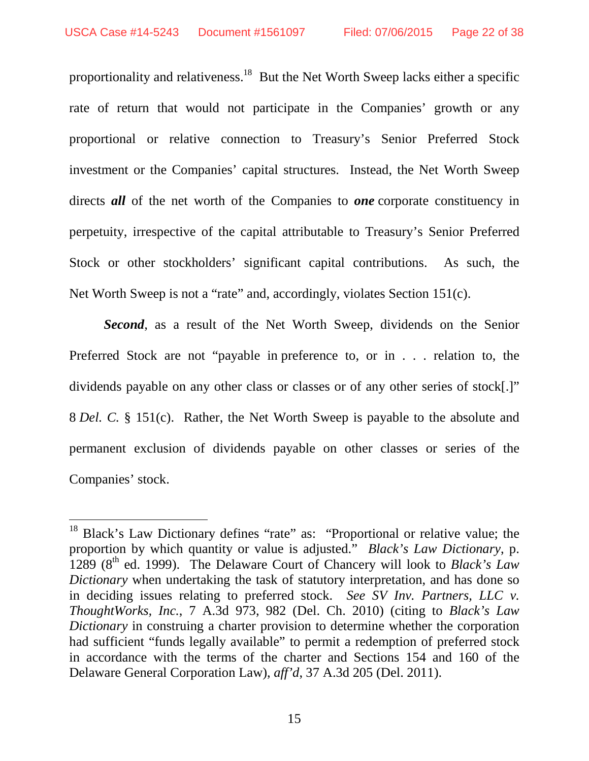proportionality and relativeness.<sup>18</sup> But the Net Worth Sweep lacks either a specific rate of return that would not participate in the Companies' growth or any proportional or relative connection to Treasury's Senior Preferred Stock investment or the Companies' capital structures. Instead, the Net Worth Sweep directs *all* of the net worth of the Companies to *one* corporate constituency in perpetuity, irrespective of the capital attributable to Treasury's Senior Preferred Stock or other stockholders' significant capital contributions. As such, the Net Worth Sweep is not a "rate" and, accordingly, violates Section 151(c).

**Second**, as a result of the Net Worth Sweep, dividends on the Senior Preferred Stock are not "payable in preference to, or in . . . relation to, the dividends payable on any other class or classes or of any other series of stock[.]" 8 *Del. C.* § 151(c). Rather, the Net Worth Sweep is payable to the absolute and permanent exclusion of dividends payable on other classes or series of the Companies' stock.

<sup>&</sup>lt;sup>18</sup> Black's Law Dictionary defines "rate" as: "Proportional or relative value; the proportion by which quantity or value is adjusted." *Black's Law Dictionary*, p. 1289 (8th ed. 1999). The Delaware Court of Chancery will look to *Black's Law Dictionary* when undertaking the task of statutory interpretation, and has done so in deciding issues relating to preferred stock. *See SV Inv. Partners, LLC v. ThoughtWorks, Inc.*, 7 A.3d 973, 982 (Del. Ch. 2010) (citing to *Black's Law Dictionary* in construing a charter provision to determine whether the corporation had sufficient "funds legally available" to permit a redemption of preferred stock in accordance with the terms of the charter and Sections 154 and 160 of the Delaware General Corporation Law), *aff'd*, 37 A.3d 205 (Del. 2011).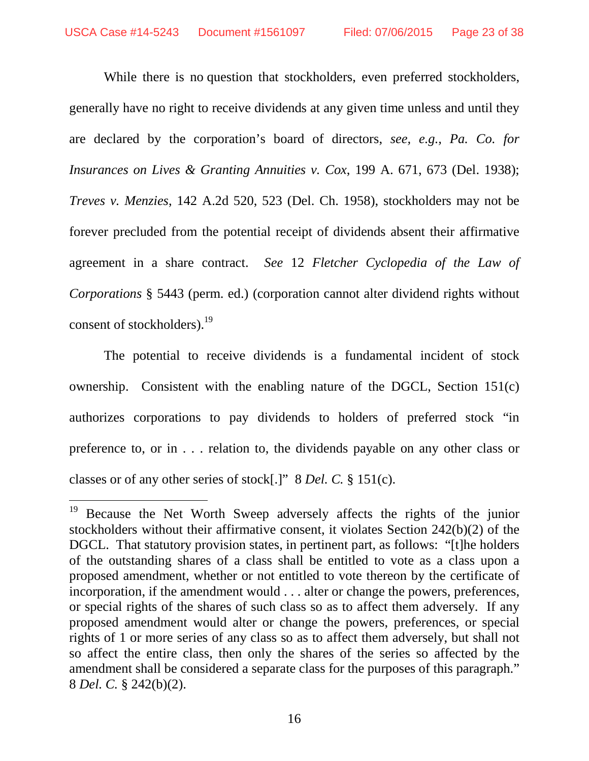While there is no question that stockholders, even preferred stockholders, generally have no right to receive dividends at any given time unless and until they are declared by the corporation's board of directors, *see, e.g., Pa. Co. for Insurances on Lives & Granting Annuities v. Cox*, 199 A. 671, 673 (Del. 1938); *Treves v. Menzies*, 142 A.2d 520, 523 (Del. Ch. 1958), stockholders may not be forever precluded from the potential receipt of dividends absent their affirmative agreement in a share contract. *See* 12 *Fletcher Cyclopedia of the Law of Corporations* § 5443 (perm. ed.) (corporation cannot alter dividend rights without consent of stockholders).<sup>19</sup>

The potential to receive dividends is a fundamental incident of stock ownership. Consistent with the enabling nature of the DGCL, Section 151(c) authorizes corporations to pay dividends to holders of preferred stock "in preference to, or in . . . relation to, the dividends payable on any other class or classes or of any other series of stock[.]" 8 *Del. C.* § 151(c).

<sup>&</sup>lt;sup>19</sup> Because the Net Worth Sweep adversely affects the rights of the junior stockholders without their affirmative consent, it violates Section 242(b)(2) of the DGCL. That statutory provision states, in pertinent part, as follows: "[t]he holders of the outstanding shares of a class shall be entitled to vote as a class upon a proposed amendment, whether or not entitled to vote thereon by the certificate of incorporation, if the amendment would . . . alter or change the powers, preferences, or special rights of the shares of such class so as to affect them adversely. If any proposed amendment would alter or change the powers, preferences, or special rights of 1 or more series of any class so as to affect them adversely, but shall not so affect the entire class, then only the shares of the series so affected by the amendment shall be considered a separate class for the purposes of this paragraph." 8 *Del. C.* § 242(b)(2).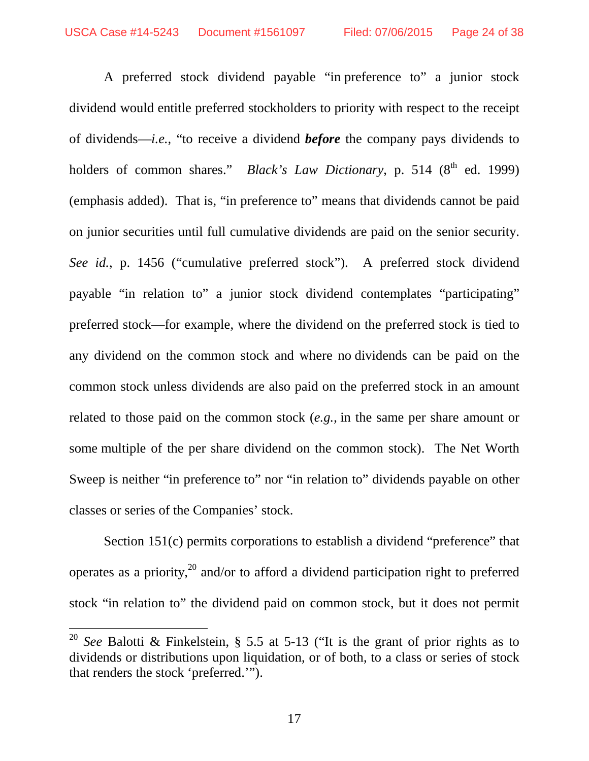A preferred stock dividend payable "in preference to" a junior stock dividend would entitle preferred stockholders to priority with respect to the receipt of dividends—*i.e.,* "to receive a dividend *before* the company pays dividends to holders of common shares." *Black's Law Dictionary*, p. 514 ( $8<sup>th</sup>$  ed. 1999) (emphasis added). That is, "in preference to" means that dividends cannot be paid on junior securities until full cumulative dividends are paid on the senior security. *See id.*, p. 1456 ("cumulative preferred stock"). A preferred stock dividend payable "in relation to" a junior stock dividend contemplates "participating" preferred stock—for example, where the dividend on the preferred stock is tied to any dividend on the common stock and where no dividends can be paid on the common stock unless dividends are also paid on the preferred stock in an amount related to those paid on the common stock (*e.g.*, in the same per share amount or some multiple of the per share dividend on the common stock). The Net Worth Sweep is neither "in preference to" nor "in relation to" dividends payable on other classes or series of the Companies' stock.

Section 151(c) permits corporations to establish a dividend "preference" that operates as a priority,<sup>20</sup> and/or to afford a dividend participation right to preferred stock "in relation to" the dividend paid on common stock, but it does not permit

<sup>20</sup> *See* Balotti & Finkelstein, § 5.5 at 5-13 ("It is the grant of prior rights as to dividends or distributions upon liquidation, or of both, to a class or series of stock that renders the stock 'preferred.'").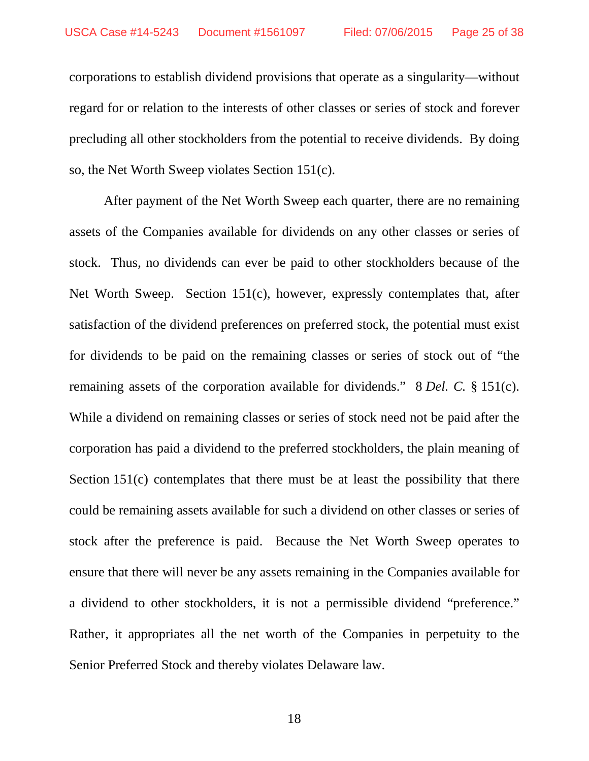corporations to establish dividend provisions that operate as a singularity—without regard for or relation to the interests of other classes or series of stock and forever precluding all other stockholders from the potential to receive dividends. By doing so, the Net Worth Sweep violates Section 151(c).

After payment of the Net Worth Sweep each quarter, there are no remaining assets of the Companies available for dividends on any other classes or series of stock. Thus, no dividends can ever be paid to other stockholders because of the Net Worth Sweep. Section 151(c), however, expressly contemplates that, after satisfaction of the dividend preferences on preferred stock, the potential must exist for dividends to be paid on the remaining classes or series of stock out of "the remaining assets of the corporation available for dividends." 8 *Del. C.* § 151(c). While a dividend on remaining classes or series of stock need not be paid after the corporation has paid a dividend to the preferred stockholders, the plain meaning of Section 151(c) contemplates that there must be at least the possibility that there could be remaining assets available for such a dividend on other classes or series of stock after the preference is paid. Because the Net Worth Sweep operates to ensure that there will never be any assets remaining in the Companies available for a dividend to other stockholders, it is not a permissible dividend "preference." Rather, it appropriates all the net worth of the Companies in perpetuity to the Senior Preferred Stock and thereby violates Delaware law.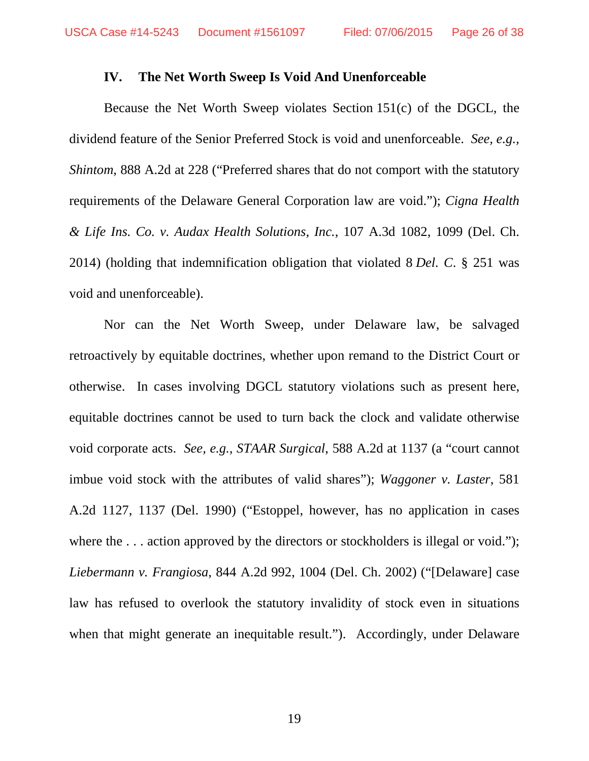#### **IV. The Net Worth Sweep Is Void And Unenforceable**

Because the Net Worth Sweep violates Section 151(c) of the DGCL, the dividend feature of the Senior Preferred Stock is void and unenforceable. *See, e.g., Shintom*, 888 A.2d at 228 ("Preferred shares that do not comport with the statutory requirements of the Delaware General Corporation law are void."); *Cigna Health & Life Ins. Co. v. Audax Health Solutions, Inc.*, 107 A.3d 1082, 1099 (Del. Ch. 2014) (holding that indemnification obligation that violated 8 *Del. C*. § 251 was void and unenforceable).

Nor can the Net Worth Sweep, under Delaware law, be salvaged retroactively by equitable doctrines, whether upon remand to the District Court or otherwise. In cases involving DGCL statutory violations such as present here, equitable doctrines cannot be used to turn back the clock and validate otherwise void corporate acts. *See, e.g., STAAR Surgical*, 588 A.2d at 1137 (a "court cannot imbue void stock with the attributes of valid shares"); *Waggoner v. Laster*, 581 A.2d 1127, 1137 (Del. 1990) ("Estoppel, however, has no application in cases where the ... action approved by the directors or stockholders is illegal or void."); *Liebermann v. Frangiosa*, 844 A.2d 992, 1004 (Del. Ch. 2002) ("[Delaware] case law has refused to overlook the statutory invalidity of stock even in situations when that might generate an inequitable result."). Accordingly, under Delaware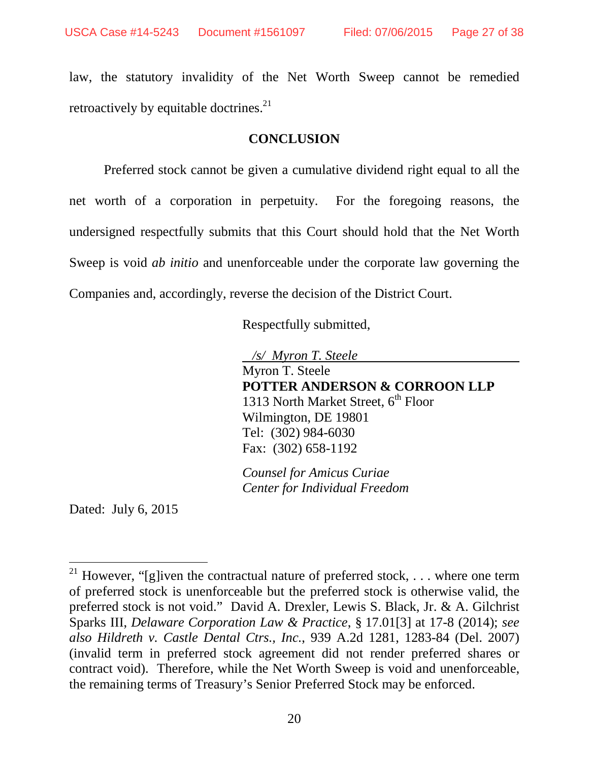law, the statutory invalidity of the Net Worth Sweep cannot be remedied retroactively by equitable doctrines. $^{21}$ 

### **CONCLUSION**

Preferred stock cannot be given a cumulative dividend right equal to all the net worth of a corporation in perpetuity. For the foregoing reasons, the undersigned respectfully submits that this Court should hold that the Net Worth Sweep is void *ab initio* and unenforceable under the corporate law governing the Companies and, accordingly, reverse the decision of the District Court.

Respectfully submitted,

*/s/ Myron T. Steele*

Myron T. Steele **POTTER ANDERSON & CORROON LLP** 1313 North Market Street,  $6^{th}$  Floor Wilmington, DE 19801 Tel: (302) 984-6030 Fax: (302) 658-1192

*Counsel for Amicus Curiae Center for Individual Freedom*

Dated: July 6, 2015

<sup>&</sup>lt;sup>21</sup> However, "[g]iven the contractual nature of preferred stock, ... where one term of preferred stock is unenforceable but the preferred stock is otherwise valid, the preferred stock is not void." David A. Drexler, Lewis S. Black, Jr. & A. Gilchrist Sparks III, *Delaware Corporation Law & Practice*, § 17.01[3] at 17-8 (2014); *see also Hildreth v. Castle Dental Ctrs., Inc.*, 939 A.2d 1281, 1283-84 (Del. 2007) (invalid term in preferred stock agreement did not render preferred shares or contract void). Therefore, while the Net Worth Sweep is void and unenforceable, the remaining terms of Treasury's Senior Preferred Stock may be enforced.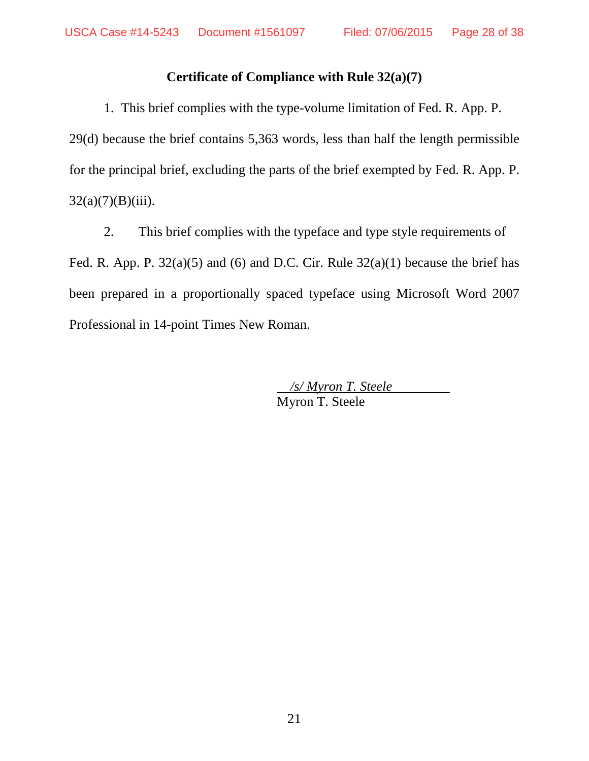### **Certificate of Compliance with Rule 32(a)(7)**

1. This brief complies with the type-volume limitation of Fed. R. App. P. 29(d) because the brief contains 5,363 words, less than half the length permissible for the principal brief, excluding the parts of the brief exempted by Fed. R. App. P.  $32(a)(7)(B)(iii)$ .

2. This brief complies with the typeface and type style requirements of Fed. R. App. P.  $32(a)(5)$  and  $(6)$  and D.C. Cir. Rule  $32(a)(1)$  because the brief has been prepared in a proportionally spaced typeface using Microsoft Word 2007 Professional in 14-point Times New Roman.

> */s/ Myron T. Steele* Myron T. Steele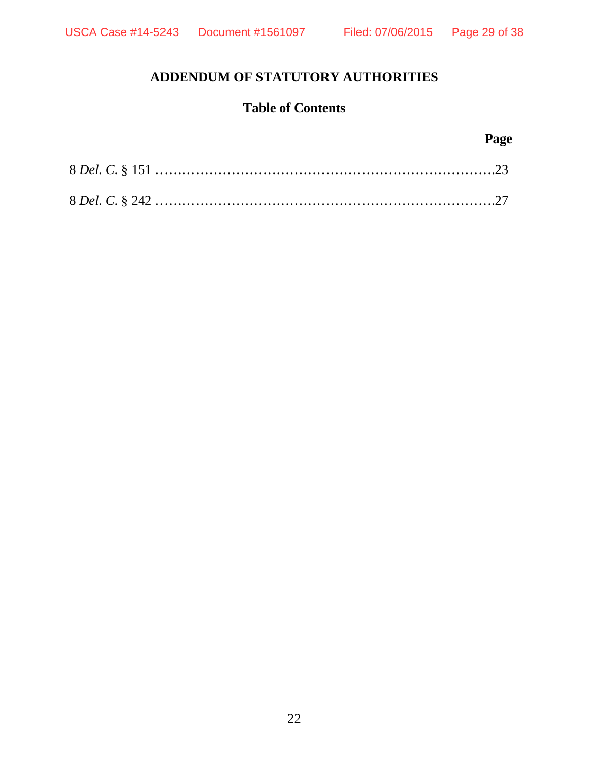# **ADDENDUM OF STATUTORY AUTHORITIES**

## **Table of Contents**

# **Page**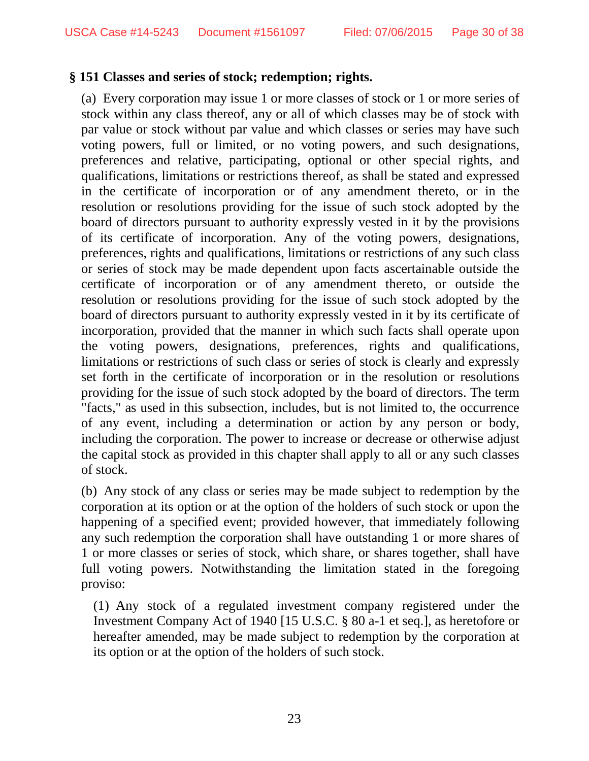#### **§ 151 Classes and series of stock; redemption; rights.**

(a) Every corporation may issue 1 or more classes of stock or 1 or more series of stock within any class thereof, any or all of which classes may be of stock with par value or stock without par value and which classes or series may have such voting powers, full or limited, or no voting powers, and such designations, preferences and relative, participating, optional or other special rights, and qualifications, limitations or restrictions thereof, as shall be stated and expressed in the certificate of incorporation or of any amendment thereto, or in the resolution or resolutions providing for the issue of such stock adopted by the board of directors pursuant to authority expressly vested in it by the provisions of its certificate of incorporation. Any of the voting powers, designations, preferences, rights and qualifications, limitations or restrictions of any such class or series of stock may be made dependent upon facts ascertainable outside the certificate of incorporation or of any amendment thereto, or outside the resolution or resolutions providing for the issue of such stock adopted by the board of directors pursuant to authority expressly vested in it by its certificate of incorporation, provided that the manner in which such facts shall operate upon the voting powers, designations, preferences, rights and qualifications, limitations or restrictions of such class or series of stock is clearly and expressly set forth in the certificate of incorporation or in the resolution or resolutions providing for the issue of such stock adopted by the board of directors. The term "facts," as used in this subsection, includes, but is not limited to, the occurrence of any event, including a determination or action by any person or body, including the corporation. The power to increase or decrease or otherwise adjust the capital stock as provided in this chapter shall apply to all or any such classes of stock.

(b) Any stock of any class or series may be made subject to redemption by the corporation at its option or at the option of the holders of such stock or upon the happening of a specified event; provided however, that immediately following any such redemption the corporation shall have outstanding 1 or more shares of 1 or more classes or series of stock, which share, or shares together, shall have full voting powers. Notwithstanding the limitation stated in the foregoing proviso:

(1) Any stock of a regulated investment company registered under the Investment Company Act of 1940 [15 U.S.C. § 80 a-1 et seq.], as heretofore or hereafter amended, may be made subject to redemption by the corporation at its option or at the option of the holders of such stock.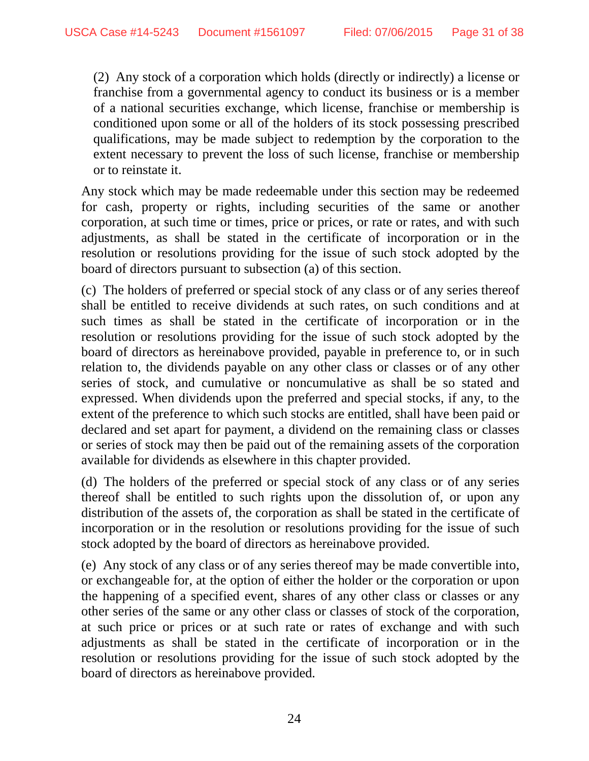(2) Any stock of a corporation which holds (directly or indirectly) a license or franchise from a governmental agency to conduct its business or is a member of a national securities exchange, which license, franchise or membership is conditioned upon some or all of the holders of its stock possessing prescribed qualifications, may be made subject to redemption by the corporation to the extent necessary to prevent the loss of such license, franchise or membership or to reinstate it.

Any stock which may be made redeemable under this section may be redeemed for cash, property or rights, including securities of the same or another corporation, at such time or times, price or prices, or rate or rates, and with such adjustments, as shall be stated in the certificate of incorporation or in the resolution or resolutions providing for the issue of such stock adopted by the board of directors pursuant to subsection (a) of this section.

(c) The holders of preferred or special stock of any class or of any series thereof shall be entitled to receive dividends at such rates, on such conditions and at such times as shall be stated in the certificate of incorporation or in the resolution or resolutions providing for the issue of such stock adopted by the board of directors as hereinabove provided, payable in preference to, or in such relation to, the dividends payable on any other class or classes or of any other series of stock, and cumulative or noncumulative as shall be so stated and expressed. When dividends upon the preferred and special stocks, if any, to the extent of the preference to which such stocks are entitled, shall have been paid or declared and set apart for payment, a dividend on the remaining class or classes or series of stock may then be paid out of the remaining assets of the corporation available for dividends as elsewhere in this chapter provided.

(d) The holders of the preferred or special stock of any class or of any series thereof shall be entitled to such rights upon the dissolution of, or upon any distribution of the assets of, the corporation as shall be stated in the certificate of incorporation or in the resolution or resolutions providing for the issue of such stock adopted by the board of directors as hereinabove provided.

(e) Any stock of any class or of any series thereof may be made convertible into, or exchangeable for, at the option of either the holder or the corporation or upon the happening of a specified event, shares of any other class or classes or any other series of the same or any other class or classes of stock of the corporation, at such price or prices or at such rate or rates of exchange and with such adjustments as shall be stated in the certificate of incorporation or in the resolution or resolutions providing for the issue of such stock adopted by the board of directors as hereinabove provided.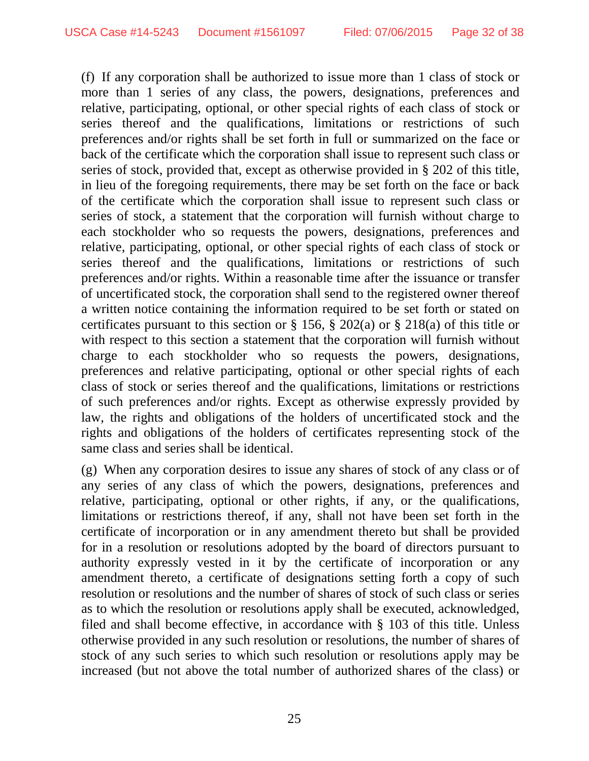(f) If any corporation shall be authorized to issue more than 1 class of stock or more than 1 series of any class, the powers, designations, preferences and relative, participating, optional, or other special rights of each class of stock or series thereof and the qualifications, limitations or restrictions of such preferences and/or rights shall be set forth in full or summarized on the face or back of the certificate which the corporation shall issue to represent such class or series of stock, provided that, except as otherwise provided in § 202 of this title, in lieu of the foregoing requirements, there may be set forth on the face or back of the certificate which the corporation shall issue to represent such class or series of stock, a statement that the corporation will furnish without charge to each stockholder who so requests the powers, designations, preferences and relative, participating, optional, or other special rights of each class of stock or series thereof and the qualifications, limitations or restrictions of such preferences and/or rights. Within a reasonable time after the issuance or transfer of uncertificated stock, the corporation shall send to the registered owner thereof a written notice containing the information required to be set forth or stated on certificates pursuant to this section or § 156, § 202(a) or § 218(a) of this title or with respect to this section a statement that the corporation will furnish without charge to each stockholder who so requests the powers, designations, preferences and relative participating, optional or other special rights of each class of stock or series thereof and the qualifications, limitations or restrictions of such preferences and/or rights. Except as otherwise expressly provided by law, the rights and obligations of the holders of uncertificated stock and the rights and obligations of the holders of certificates representing stock of the same class and series shall be identical.

(g) When any corporation desires to issue any shares of stock of any class or of any series of any class of which the powers, designations, preferences and relative, participating, optional or other rights, if any, or the qualifications, limitations or restrictions thereof, if any, shall not have been set forth in the certificate of incorporation or in any amendment thereto but shall be provided for in a resolution or resolutions adopted by the board of directors pursuant to authority expressly vested in it by the certificate of incorporation or any amendment thereto, a certificate of designations setting forth a copy of such resolution or resolutions and the number of shares of stock of such class or series as to which the resolution or resolutions apply shall be executed, acknowledged, filed and shall become effective, in accordance with § 103 of this title. Unless otherwise provided in any such resolution or resolutions, the number of shares of stock of any such series to which such resolution or resolutions apply may be increased (but not above the total number of authorized shares of the class) or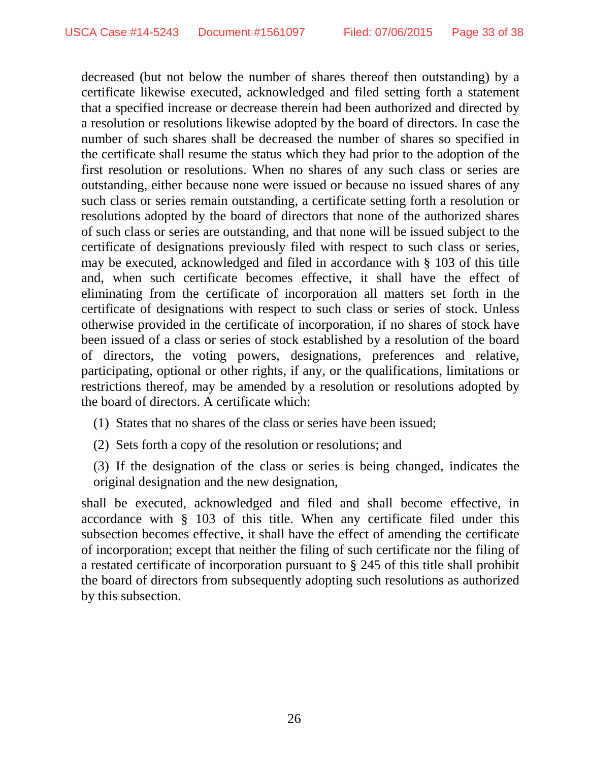decreased (but not below the number of shares thereof then outstanding) by a certificate likewise executed, acknowledged and filed setting forth a statement that a specified increase or decrease therein had been authorized and directed by a resolution or resolutions likewise adopted by the board of directors. In case the number of such shares shall be decreased the number of shares so specified in the certificate shall resume the status which they had prior to the adoption of the first resolution or resolutions. When no shares of any such class or series are outstanding, either because none were issued or because no issued shares of any such class or series remain outstanding, a certificate setting forth a resolution or resolutions adopted by the board of directors that none of the authorized shares of such class or series are outstanding, and that none will be issued subject to the certificate of designations previously filed with respect to such class or series, may be executed, acknowledged and filed in accordance with § 103 of this title and, when such certificate becomes effective, it shall have the effect of eliminating from the certificate of incorporation all matters set forth in the certificate of designations with respect to such class or series of stock. Unless otherwise provided in the certificate of incorporation, if no shares of stock have been issued of a class or series of stock established by a resolution of the board of directors, the voting powers, designations, preferences and relative, participating, optional or other rights, if any, or the qualifications, limitations or restrictions thereof, may be amended by a resolution or resolutions adopted by the board of directors. A certificate which:

- (1) States that no shares of the class or series have been issued;
- (2) Sets forth a copy of the resolution or resolutions; and
- (3) If the designation of the class or series is being changed, indicates the original designation and the new designation,

shall be executed, acknowledged and filed and shall become effective, in accordance with § 103 of this title. When any certificate filed under this subsection becomes effective, it shall have the effect of amending the certificate of incorporation; except that neither the filing of such certificate nor the filing of a restated certificate of incorporation pursuant to § 245 of this title shall prohibit the board of directors from subsequently adopting such resolutions as authorized by this subsection.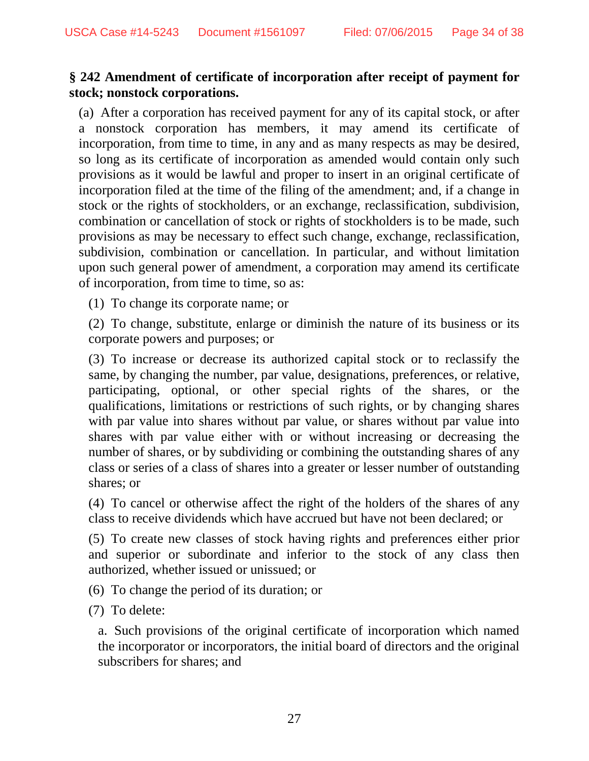## **§ 242 Amendment of certificate of incorporation after receipt of payment for stock; nonstock corporations.**

(a) After a corporation has received payment for any of its capital stock, or after a nonstock corporation has members, it may amend its certificate of incorporation, from time to time, in any and as many respects as may be desired, so long as its certificate of incorporation as amended would contain only such provisions as it would be lawful and proper to insert in an original certificate of incorporation filed at the time of the filing of the amendment; and, if a change in stock or the rights of stockholders, or an exchange, reclassification, subdivision, combination or cancellation of stock or rights of stockholders is to be made, such provisions as may be necessary to effect such change, exchange, reclassification, subdivision, combination or cancellation. In particular, and without limitation upon such general power of amendment, a corporation may amend its certificate of incorporation, from time to time, so as:

(1) To change its corporate name; or

(2) To change, substitute, enlarge or diminish the nature of its business or its corporate powers and purposes; or

(3) To increase or decrease its authorized capital stock or to reclassify the same, by changing the number, par value, designations, preferences, or relative, participating, optional, or other special rights of the shares, or the qualifications, limitations or restrictions of such rights, or by changing shares with par value into shares without par value, or shares without par value into shares with par value either with or without increasing or decreasing the number of shares, or by subdividing or combining the outstanding shares of any class or series of a class of shares into a greater or lesser number of outstanding shares; or

(4) To cancel or otherwise affect the right of the holders of the shares of any class to receive dividends which have accrued but have not been declared; or

(5) To create new classes of stock having rights and preferences either prior and superior or subordinate and inferior to the stock of any class then authorized, whether issued or unissued; or

(6) To change the period of its duration; or

(7) To delete:

a. Such provisions of the original certificate of incorporation which named the incorporator or incorporators, the initial board of directors and the original subscribers for shares; and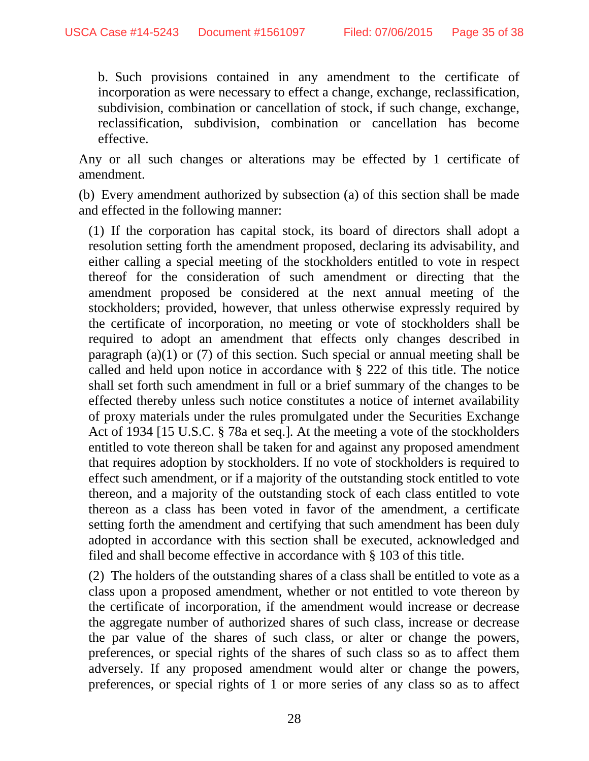b. Such provisions contained in any amendment to the certificate of incorporation as were necessary to effect a change, exchange, reclassification, subdivision, combination or cancellation of stock, if such change, exchange, reclassification, subdivision, combination or cancellation has become effective.

Any or all such changes or alterations may be effected by 1 certificate of amendment.

(b) Every amendment authorized by subsection (a) of this section shall be made and effected in the following manner:

(1) If the corporation has capital stock, its board of directors shall adopt a resolution setting forth the amendment proposed, declaring its advisability, and either calling a special meeting of the stockholders entitled to vote in respect thereof for the consideration of such amendment or directing that the amendment proposed be considered at the next annual meeting of the stockholders; provided, however, that unless otherwise expressly required by the certificate of incorporation, no meeting or vote of stockholders shall be required to adopt an amendment that effects only changes described in paragraph (a)(1) or (7) of this section. Such special or annual meeting shall be called and held upon notice in accordance with § 222 of this title. The notice shall set forth such amendment in full or a brief summary of the changes to be effected thereby unless such notice constitutes a notice of internet availability of proxy materials under the rules promulgated under the Securities Exchange Act of 1934 [15 U.S.C. § 78a et seq.]. At the meeting a vote of the stockholders entitled to vote thereon shall be taken for and against any proposed amendment that requires adoption by stockholders. If no vote of stockholders is required to effect such amendment, or if a majority of the outstanding stock entitled to vote thereon, and a majority of the outstanding stock of each class entitled to vote thereon as a class has been voted in favor of the amendment, a certificate setting forth the amendment and certifying that such amendment has been duly adopted in accordance with this section shall be executed, acknowledged and filed and shall become effective in accordance with § 103 of this title.

(2) The holders of the outstanding shares of a class shall be entitled to vote as a class upon a proposed amendment, whether or not entitled to vote thereon by the certificate of incorporation, if the amendment would increase or decrease the aggregate number of authorized shares of such class, increase or decrease the par value of the shares of such class, or alter or change the powers, preferences, or special rights of the shares of such class so as to affect them adversely. If any proposed amendment would alter or change the powers, preferences, or special rights of 1 or more series of any class so as to affect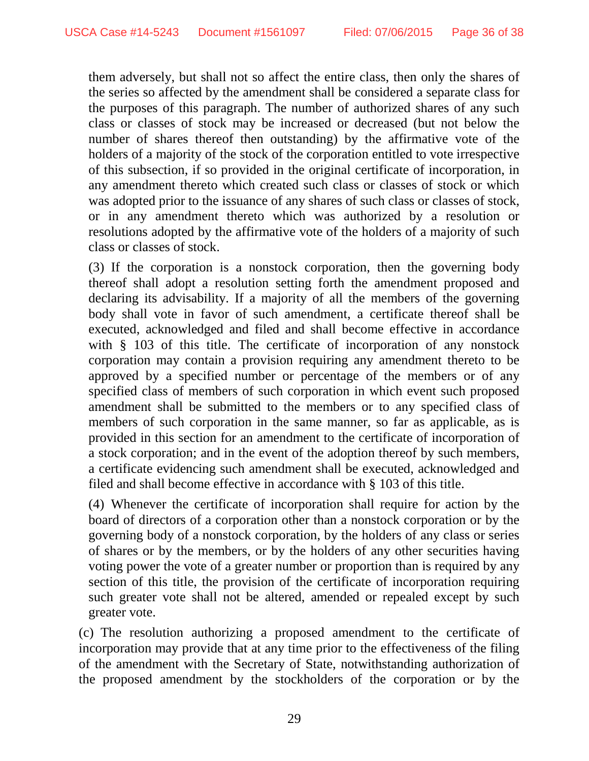them adversely, but shall not so affect the entire class, then only the shares of the series so affected by the amendment shall be considered a separate class for the purposes of this paragraph. The number of authorized shares of any such class or classes of stock may be increased or decreased (but not below the number of shares thereof then outstanding) by the affirmative vote of the holders of a majority of the stock of the corporation entitled to vote irrespective of this subsection, if so provided in the original certificate of incorporation, in any amendment thereto which created such class or classes of stock or which was adopted prior to the issuance of any shares of such class or classes of stock, or in any amendment thereto which was authorized by a resolution or resolutions adopted by the affirmative vote of the holders of a majority of such class or classes of stock.

(3) If the corporation is a nonstock corporation, then the governing body thereof shall adopt a resolution setting forth the amendment proposed and declaring its advisability. If a majority of all the members of the governing body shall vote in favor of such amendment, a certificate thereof shall be executed, acknowledged and filed and shall become effective in accordance with § 103 of this title. The certificate of incorporation of any nonstock corporation may contain a provision requiring any amendment thereto to be approved by a specified number or percentage of the members or of any specified class of members of such corporation in which event such proposed amendment shall be submitted to the members or to any specified class of members of such corporation in the same manner, so far as applicable, as is provided in this section for an amendment to the certificate of incorporation of a stock corporation; and in the event of the adoption thereof by such members, a certificate evidencing such amendment shall be executed, acknowledged and filed and shall become effective in accordance with § 103 of this title.

(4) Whenever the certificate of incorporation shall require for action by the board of directors of a corporation other than a nonstock corporation or by the governing body of a nonstock corporation, by the holders of any class or series of shares or by the members, or by the holders of any other securities having voting power the vote of a greater number or proportion than is required by any section of this title, the provision of the certificate of incorporation requiring such greater vote shall not be altered, amended or repealed except by such greater vote.

(c) The resolution authorizing a proposed amendment to the certificate of incorporation may provide that at any time prior to the effectiveness of the filing of the amendment with the Secretary of State, notwithstanding authorization of the proposed amendment by the stockholders of the corporation or by the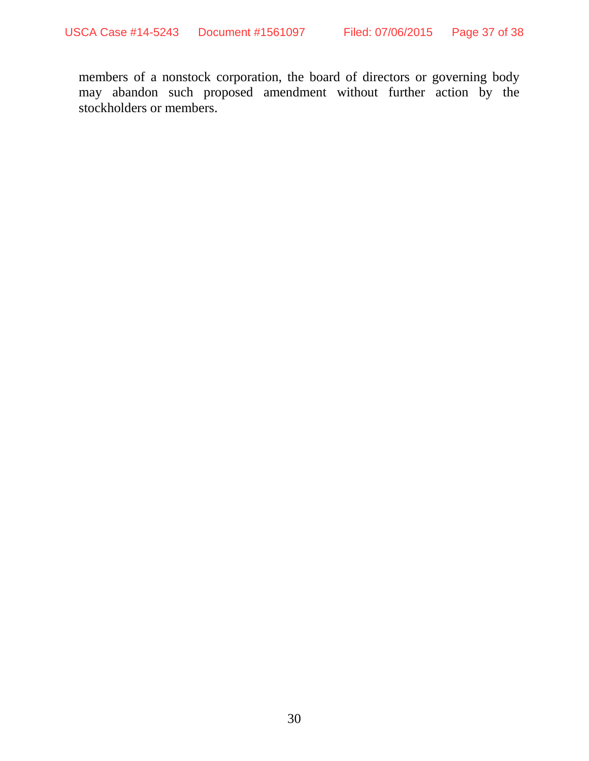members of a nonstock corporation, the board of directors or governing body may abandon such proposed amendment without further action by the stockholders or members.